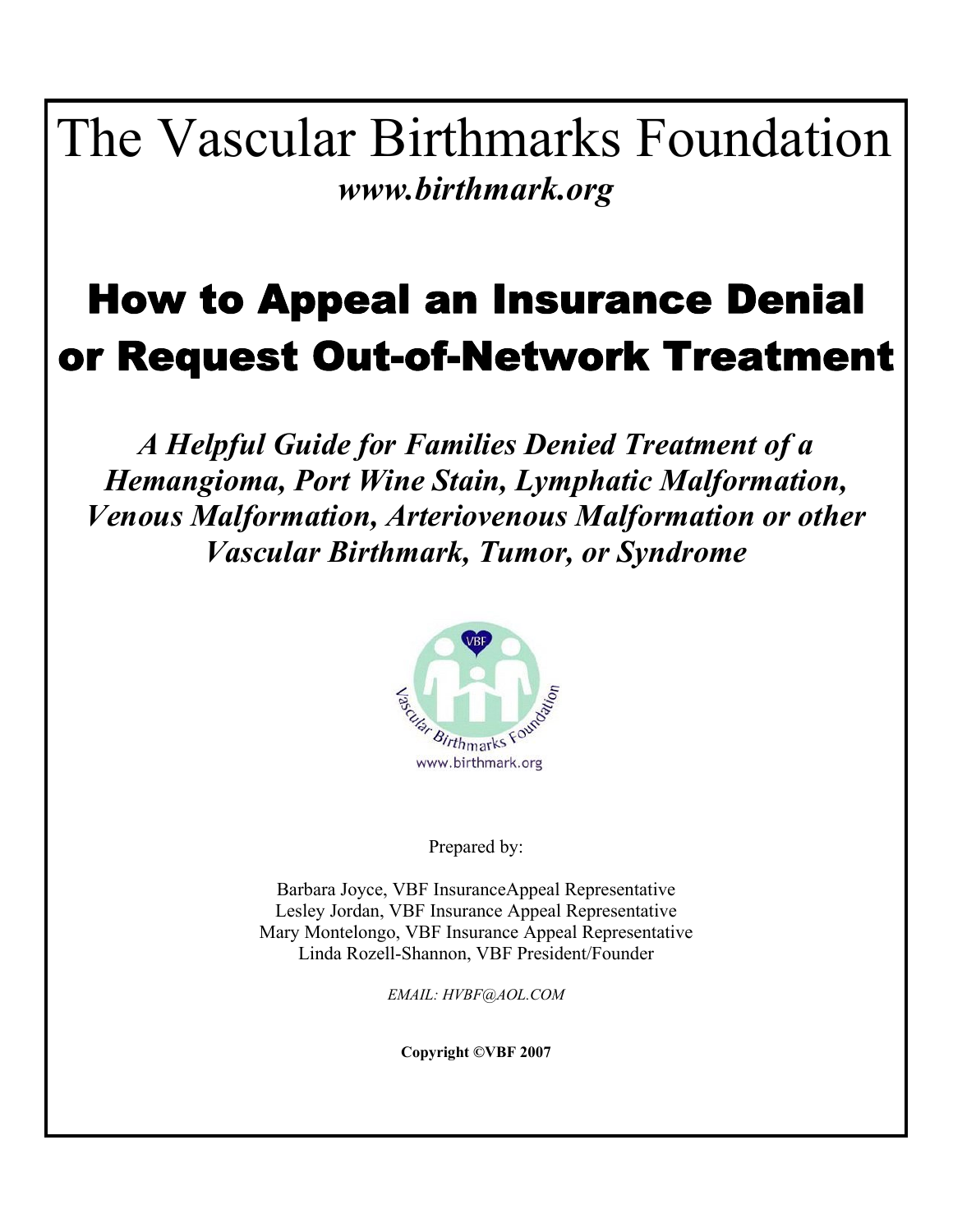The Vascular Birthmarks Foundation *www.birthmark.org* 

# How to Appeal an Insurance Denial or Request Out-of-Network Treatment

*A Helpful Guide for Families Denied Treatment of a Hemangioma, Port Wine Stain, Lymphatic Malformation, Venous Malformation, Arteriovenous Malformation or other Vascular Birthmark, Tumor, or Syndrome* 



Prepared by:

Barbara Joyce, VBF InsuranceAppeal Representative Lesley Jordan, VBF Insurance Appeal Representative Mary Montelongo, VBF Insurance Appeal Representative Linda Rozell-Shannon, VBF President/Founder

*EMAIL: HVBF@AOL.COM* 

**Copyright ©VBF 2007**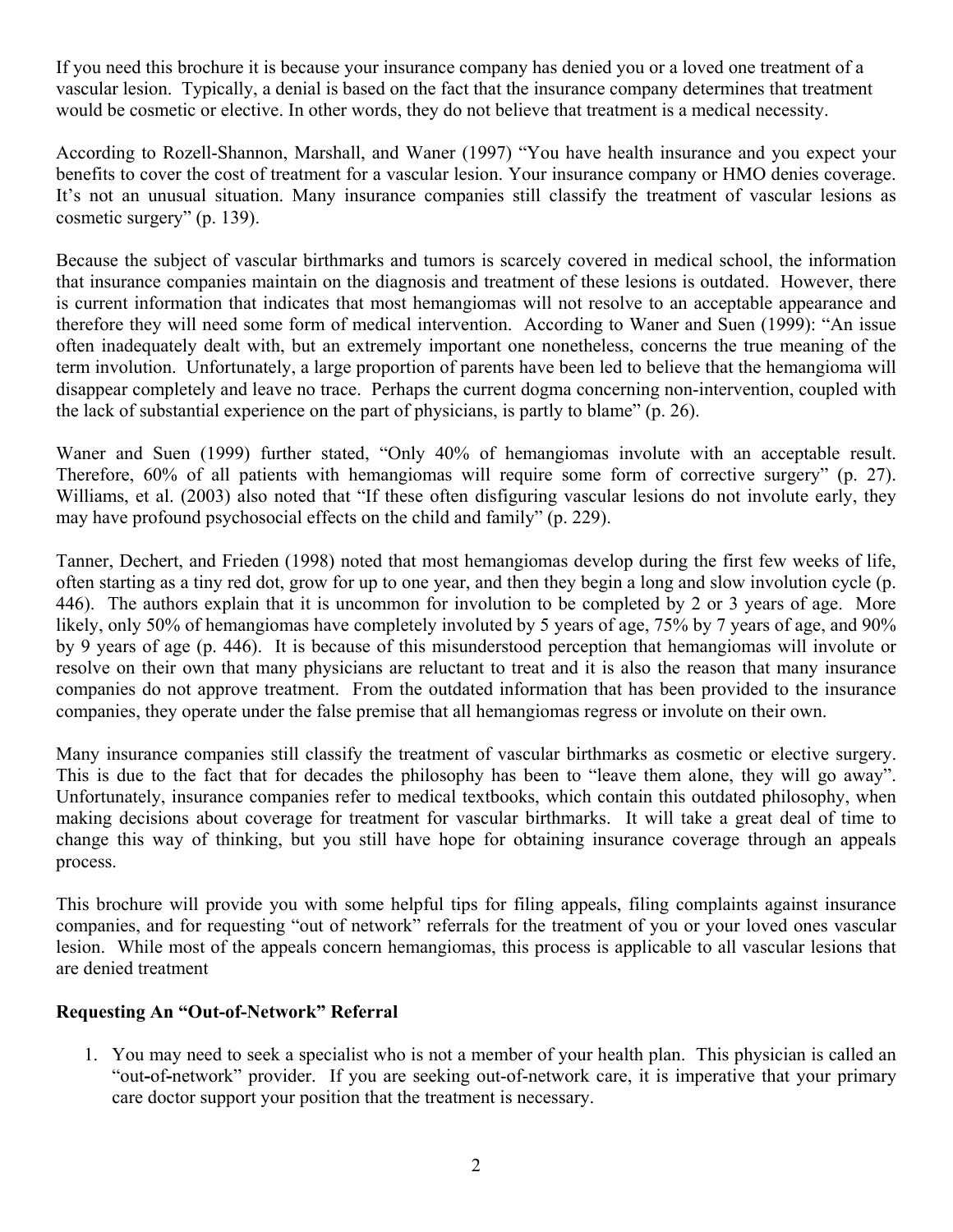If you need this brochure it is because your insurance company has denied you or a loved one treatment of a vascular lesion. Typically, a denial is based on the fact that the insurance company determines that treatment would be cosmetic or elective. In other words, they do not believe that treatment is a medical necessity.

According to Rozell-Shannon, Marshall, and Waner (1997) "You have health insurance and you expect your benefits to cover the cost of treatment for a vascular lesion. Your insurance company or HMO denies coverage. It's not an unusual situation. Many insurance companies still classify the treatment of vascular lesions as cosmetic surgery" (p. 139).

Because the subject of vascular birthmarks and tumors is scarcely covered in medical school, the information that insurance companies maintain on the diagnosis and treatment of these lesions is outdated. However, there is current information that indicates that most hemangiomas will not resolve to an acceptable appearance and therefore they will need some form of medical intervention. According to Waner and Suen (1999): "An issue often inadequately dealt with, but an extremely important one nonetheless, concerns the true meaning of the term involution. Unfortunately, a large proportion of parents have been led to believe that the hemangioma will disappear completely and leave no trace. Perhaps the current dogma concerning non-intervention, coupled with the lack of substantial experience on the part of physicians, is partly to blame" (p. 26).

Waner and Suen (1999) further stated, "Only 40% of hemangiomas involute with an acceptable result. Therefore, 60% of all patients with hemangiomas will require some form of corrective surgery" (p. 27). Williams, et al. (2003) also noted that "If these often disfiguring vascular lesions do not involute early, they may have profound psychosocial effects on the child and family" (p. 229).

Tanner, Dechert, and Frieden (1998) noted that most hemangiomas develop during the first few weeks of life, often starting as a tiny red dot, grow for up to one year, and then they begin a long and slow involution cycle (p. 446). The authors explain that it is uncommon for involution to be completed by 2 or 3 years of age. More likely, only 50% of hemangiomas have completely involuted by 5 years of age, 75% by 7 years of age, and 90% by 9 years of age (p. 446). It is because of this misunderstood perception that hemangiomas will involute or resolve on their own that many physicians are reluctant to treat and it is also the reason that many insurance companies do not approve treatment. From the outdated information that has been provided to the insurance companies, they operate under the false premise that all hemangiomas regress or involute on their own.

Many insurance companies still classify the treatment of vascular birthmarks as cosmetic or elective surgery. This is due to the fact that for decades the philosophy has been to "leave them alone, they will go away". Unfortunately, insurance companies refer to medical textbooks, which contain this outdated philosophy, when making decisions about coverage for treatment for vascular birthmarks. It will take a great deal of time to change this way of thinking, but you still have hope for obtaining insurance coverage through an appeals process.

This brochure will provide you with some helpful tips for filing appeals, filing complaints against insurance companies, and for requesting "out of network" referrals for the treatment of you or your loved ones vascular lesion. While most of the appeals concern hemangiomas, this process is applicable to all vascular lesions that are denied treatment

# **Requesting An "Out-of-Network" Referral**

1. You may need to seek a specialist who is not a member of your health plan. This physician is called an "out**-**of**-**network" provider. If you are seeking out-of-network care, it is imperative that your primary care doctor support your position that the treatment is necessary.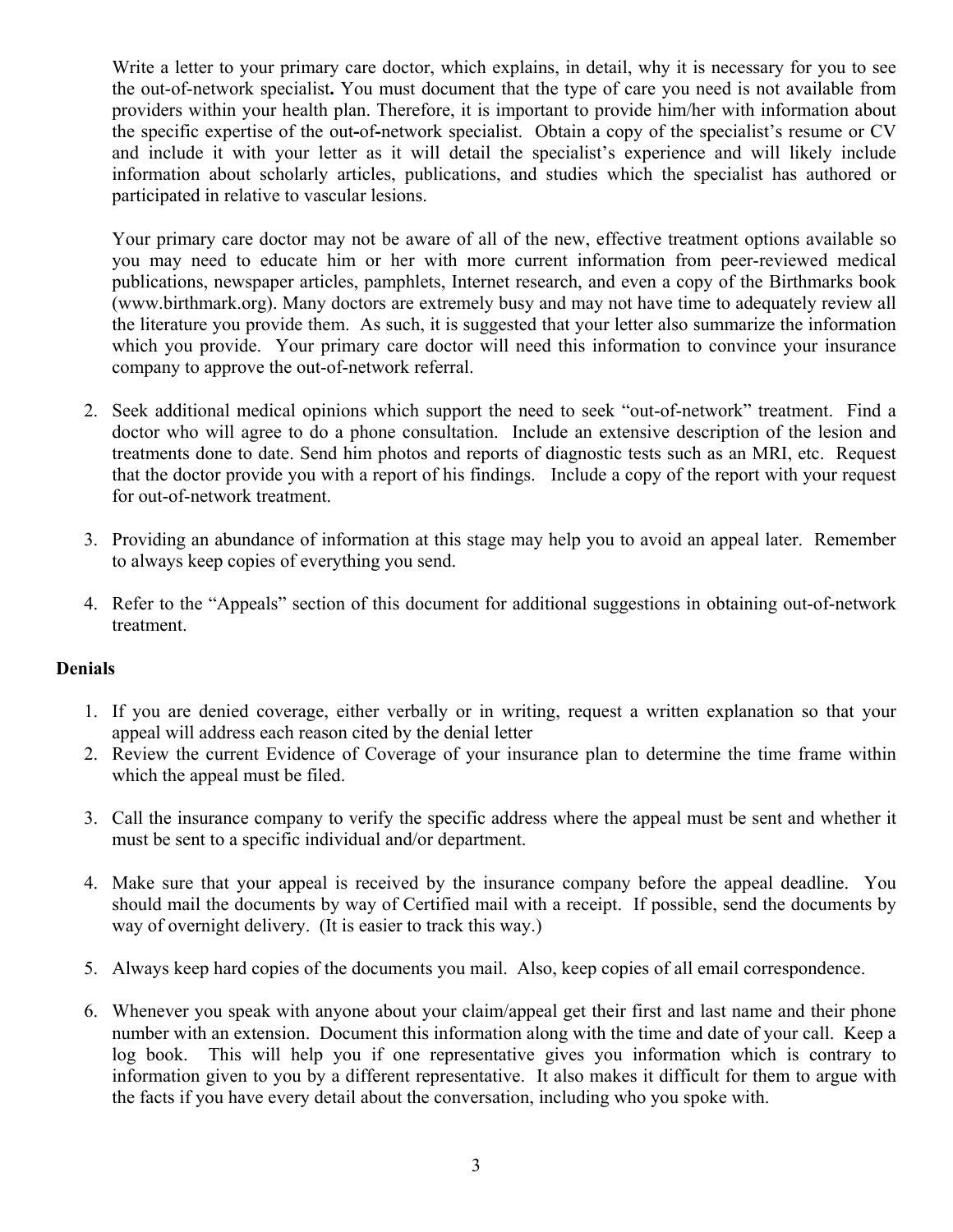Write a letter to your primary care doctor, which explains, in detail, why it is necessary for you to see the out-of-network specialist**.** You must document that the type of care you need is not available from providers within your health plan. Therefore, it is important to provide him/her with information about the specific expertise of the out**-**of**-**network specialist. Obtain a copy of the specialist's resume or CV and include it with your letter as it will detail the specialist's experience and will likely include information about scholarly articles, publications, and studies which the specialist has authored or participated in relative to vascular lesions.

Your primary care doctor may not be aware of all of the new, effective treatment options available so you may need to educate him or her with more current information from peer-reviewed medical publications, newspaper articles, pamphlets, Internet research, and even a copy of the Birthmarks book ([www.birthmark.org](http://www.birthmark.org/)). Many doctors are extremely busy and may not have time to adequately review all the literature you provide them. As such, it is suggested that your letter also summarize the information which you provide. Your primary care doctor will need this information to convince your insurance company to approve the out-of-network referral.

- 2. Seek additional medical opinions which support the need to seek "out-of-network" treatment. Find a doctor who will agree to do a phone consultation. Include an extensive description of the lesion and treatments done to date. Send him photos and reports of diagnostic tests such as an MRI, etc. Request that the doctor provide you with a report of his findings. Include a copy of the report with your request for out-of-network treatment.
- 3. Providing an abundance of information at this stage may help you to avoid an appeal later. Remember to always keep copies of everything you send.
- 4. Refer to the "Appeals" section of this document for additional suggestions in obtaining out-of-network treatment.

# **Denials**

- 1. If you are denied coverage, either verbally or in writing, request a written explanation so that your appeal will address each reason cited by the denial letter
- 2. Review the current Evidence of Coverage of your insurance plan to determine the time frame within which the appeal must be filed.
- 3. Call the insurance company to verify the specific address where the appeal must be sent and whether it must be sent to a specific individual and/or department.
- 4. Make sure that your appeal is received by the insurance company before the appeal deadline. You should mail the documents by way of Certified mail with a receipt. If possible, send the documents by way of overnight delivery. (It is easier to track this way.)
- 5. Always keep hard copies of the documents you mail. Also, keep copies of all email correspondence.
- 6. Whenever you speak with anyone about your claim/appeal get their first and last name and their phone number with an extension. Document this information along with the time and date of your call. Keep a log book. This will help you if one representative gives you information which is contrary to information given to you by a different representative. It also makes it difficult for them to argue with the facts if you have every detail about the conversation, including who you spoke with.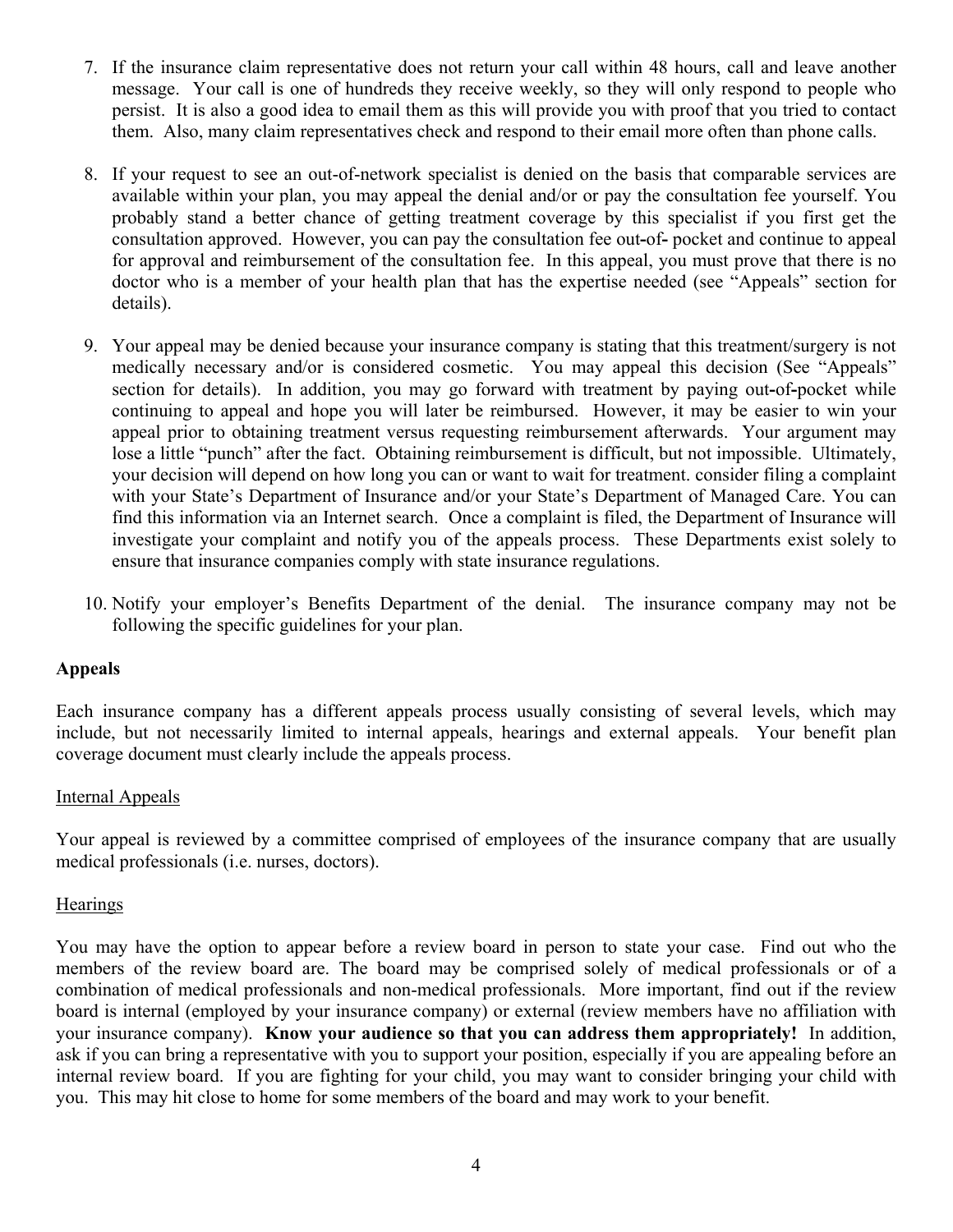- 7. If the insurance claim representative does not return your call within 48 hours, call and leave another message. Your call is one of hundreds they receive weekly, so they will only respond to people who persist. It is also a good idea to email them as this will provide you with proof that you tried to contact them. Also, many claim representatives check and respond to their email more often than phone calls.
- 8. If your request to see an out-of-network specialist is denied on the basis that comparable services are available within your plan, you may appeal the denial and/or or pay the consultation fee yourself. You probably stand a better chance of getting treatment coverage by this specialist if you first get the consultation approved. However, you can pay the consultation fee out**-**of**-** pocket and continue to appeal for approval and reimbursement of the consultation fee. In this appeal, you must prove that there is no doctor who is a member of your health plan that has the expertise needed (see "Appeals" section for details).
- 9. Your appeal may be denied because your insurance company is stating that this treatment/surgery is not medically necessary and/or is considered cosmetic. You may appeal this decision (See "Appeals" section for details). In addition, you may go forward with treatment by paying out**-**of**-**pocket while continuing to appeal and hope you will later be reimbursed. However, it may be easier to win your appeal prior to obtaining treatment versus requesting reimbursement afterwards. Your argument may lose a little "punch" after the fact. Obtaining reimbursement is difficult, but not impossible. Ultimately, your decision will depend on how long you can or want to wait for treatment. consider filing a complaint with your State's Department of Insurance and/or your State's Department of Managed Care. You can find this information via an Internet search. Once a complaint is filed, the Department of Insurance will investigate your complaint and notify you of the appeals process. These Departments exist solely to ensure that insurance companies comply with state insurance regulations.
- 10. Notify your employer's Benefits Department of the denial. The insurance company may not be following the specific guidelines for your plan.

#### **Appeals**

Each insurance company has a different appeals process usually consisting of several levels, which may include, but not necessarily limited to internal appeals, hearings and external appeals. Your benefit plan coverage document must clearly include the appeals process.

#### Internal Appeals

Your appeal is reviewed by a committee comprised of employees of the insurance company that are usually medical professionals (i.e. nurses, doctors).

#### **Hearings**

You may have the option to appear before a review board in person to state your case. Find out who the members of the review board are. The board may be comprised solely of medical professionals or of a combination of medical professionals and non-medical professionals. More important, find out if the review board is internal (employed by your insurance company) or external (review members have no affiliation with your insurance company). **Know your audience so that you can address them appropriately!** In addition, ask if you can bring a representative with you to support your position, especially if you are appealing before an internal review board. If you are fighting for your child, you may want to consider bringing your child with you. This may hit close to home for some members of the board and may work to your benefit.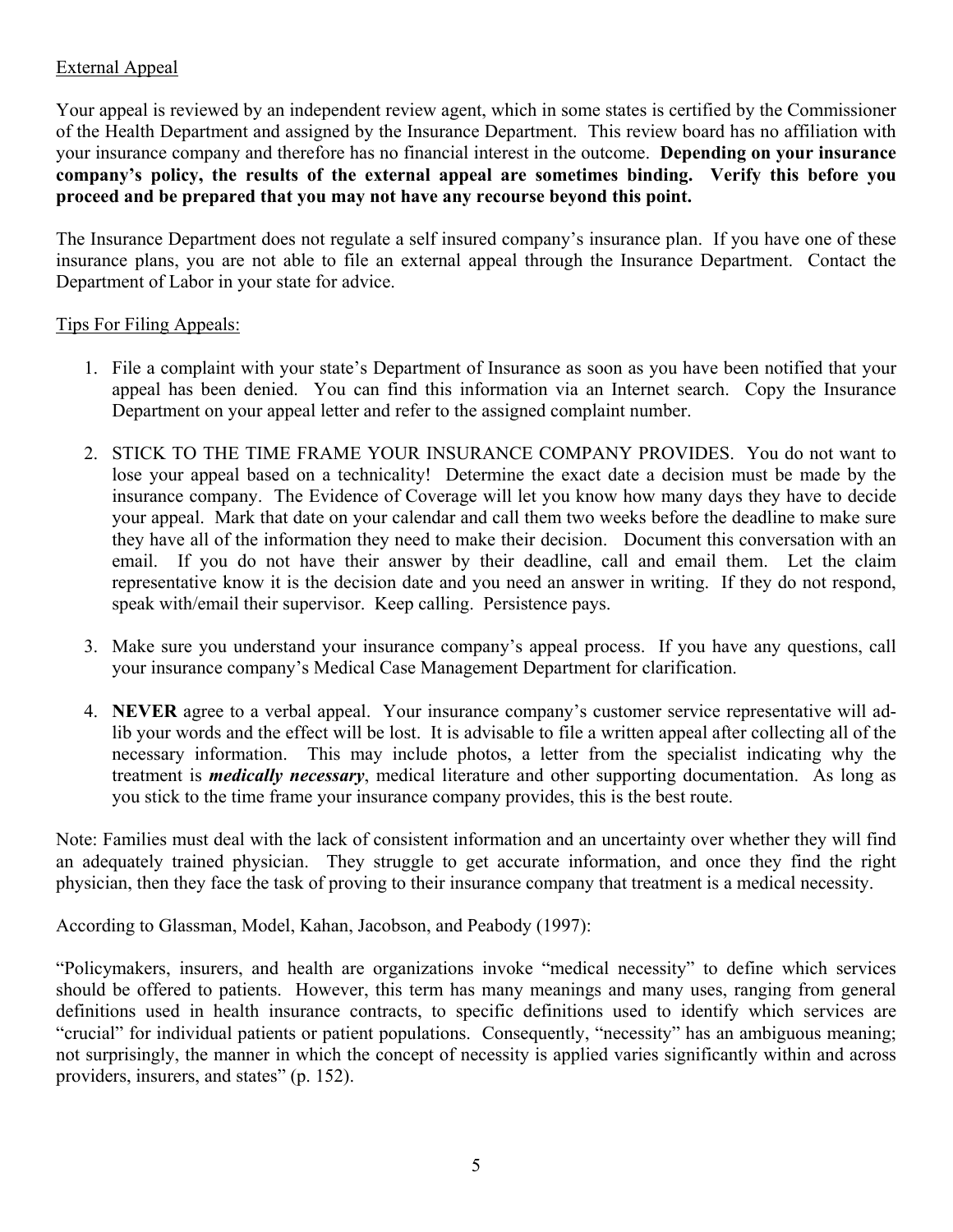# External Appeal

Your appeal is reviewed by an independent review agent, which in some states is certified by the Commissioner of the Health Department and assigned by the Insurance Department. This review board has no affiliation with your insurance company and therefore has no financial interest in the outcome. **Depending on your insurance company's policy, the results of the external appeal are sometimes binding. Verify this before you proceed and be prepared that you may not have any recourse beyond this point.** 

The Insurance Department does not regulate a self insured company's insurance plan. If you have one of these insurance plans, you are not able to file an external appeal through the Insurance Department. Contact the Department of Labor in your state for advice.

# Tips For Filing Appeals:

- 1. File a complaint with your state's Department of Insurance as soon as you have been notified that your appeal has been denied. You can find this information via an Internet search. Copy the Insurance Department on your appeal letter and refer to the assigned complaint number.
- 2. STICK TO THE TIME FRAME YOUR INSURANCE COMPANY PROVIDES. You do not want to lose your appeal based on a technicality! Determine the exact date a decision must be made by the insurance company. The Evidence of Coverage will let you know how many days they have to decide your appeal. Mark that date on your calendar and call them two weeks before the deadline to make sure they have all of the information they need to make their decision. Document this conversation with an email. If you do not have their answer by their deadline, call and email them. Let the claim representative know it is the decision date and you need an answer in writing. If they do not respond, speak with/email their supervisor. Keep calling. Persistence pays.
- 3. Make sure you understand your insurance company's appeal process. If you have any questions, call your insurance company's Medical Case Management Department for clarification.
- 4. **NEVER** agree to a verbal appeal. Your insurance company's customer service representative will adlib your words and the effect will be lost. It is advisable to file a written appeal after collecting all of the necessary information. This may include photos, a letter from the specialist indicating why the treatment is *medically necessary*, medical literature and other supporting documentation. As long as you stick to the time frame your insurance company provides, this is the best route.

Note: Families must deal with the lack of consistent information and an uncertainty over whether they will find an adequately trained physician. They struggle to get accurate information, and once they find the right physician, then they face the task of proving to their insurance company that treatment is a medical necessity.

According to Glassman, Model, Kahan, Jacobson, and Peabody (1997):

"Policymakers, insurers, and health are organizations invoke "medical necessity" to define which services should be offered to patients. However, this term has many meanings and many uses, ranging from general definitions used in health insurance contracts, to specific definitions used to identify which services are "crucial" for individual patients or patient populations. Consequently, "necessity" has an ambiguous meaning; not surprisingly, the manner in which the concept of necessity is applied varies significantly within and across providers, insurers, and states" (p. 152).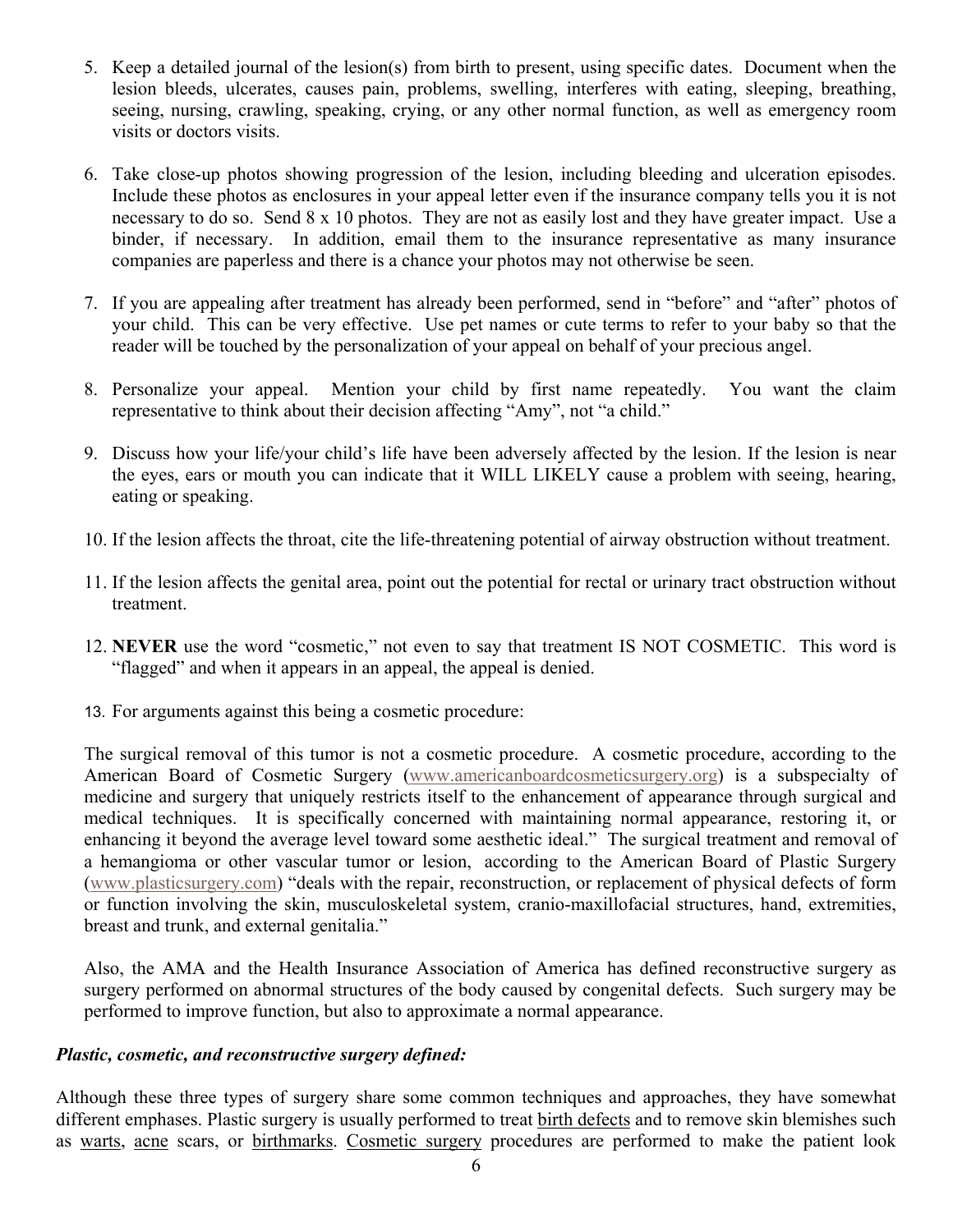- 5. Keep a detailed journal of the lesion(s) from birth to present, using specific dates. Document when the lesion bleeds, ulcerates, causes pain, problems, swelling, interferes with eating, sleeping, breathing, seeing, nursing, crawling, speaking, crying, or any other normal function, as well as emergency room visits or doctors visits.
- 6. Take close-up photos showing progression of the lesion, including bleeding and ulceration episodes. Include these photos as enclosures in your appeal letter even if the insurance company tells you it is not necessary to do so. Send 8 x 10 photos. They are not as easily lost and they have greater impact. Use a binder, if necessary. In addition, email them to the insurance representative as many insurance companies are paperless and there is a chance your photos may not otherwise be seen.
- 7. If you are appealing after treatment has already been performed, send in "before" and "after" photos of your child. This can be very effective. Use pet names or cute terms to refer to your baby so that the reader will be touched by the personalization of your appeal on behalf of your precious angel.
- 8. Personalize your appeal. Mention your child by first name repeatedly. You want the claim representative to think about their decision affecting "Amy", not "a child."
- 9. Discuss how your life/your child's life have been adversely affected by the lesion. If the lesion is near the eyes, ears or mouth you can indicate that it WILL LIKELY cause a problem with seeing, hearing, eating or speaking.
- 10. If the lesion affects the throat, cite the life-threatening potential of airway obstruction without treatment.
- 11. If the lesion affects the genital area, point out the potential for rectal or urinary tract obstruction without treatment.
- 12. **NEVER** use the word "cosmetic," not even to say that treatment IS NOT COSMETIC. This word is "flagged" and when it appears in an appeal, the appeal is denied.
- 13. For arguments against this being a cosmetic procedure:

The surgical removal of this tumor is not a cosmetic procedure. A cosmetic procedure, according to the American Board of Cosmetic Surgery [\(www.americanboardcosmeticsurgery.org](http://www.americanboardcosmeticsurgery.org/)) is a subspecialty of medicine and surgery that uniquely restricts itself to the enhancement of appearance through surgical and medical techniques. It is specifically concerned with maintaining normal appearance, restoring it, or enhancing it beyond the average level toward some aesthetic ideal." The surgical treatment and removal of a hemangioma or other vascular tumor or lesion, according to the American Board of Plastic Surgery ([www.plasticsurgery.com\)](http://www.plasticsurgery.com/) "deals with the repair, reconstruction, or replacement of physical defects of form or function involving the skin, musculoskeletal system, cranio-maxillofacial structures, hand, extremities, breast and trunk, and external genitalia."

Also, the AMA and the Health Insurance Association of America has defined reconstructive surgery as surgery performed on abnormal structures of the body caused by congenital defects. Such surgery may be performed to improve function, but also to approximate a normal appearance.

# *Plastic, cosmetic, and reconstructive surgery defined:*

Although these three types of surgery share some common techniques and approaches, they have somewhat different emphases. Plastic surgery is usually performed to treat [birth defects](http://www.answers.com/topic/congenital-disorder) and to remove skin blemishes such as [warts,](http://www.answers.com/topic/wart) [acne](http://www.answers.com/topic/acne) scars, or [birthmarks](http://www.answers.com/topic/birthmark). [Cosmetic surgery](http://www.answers.com/topic/cosmetic-surgery) procedures are performed to make the patient look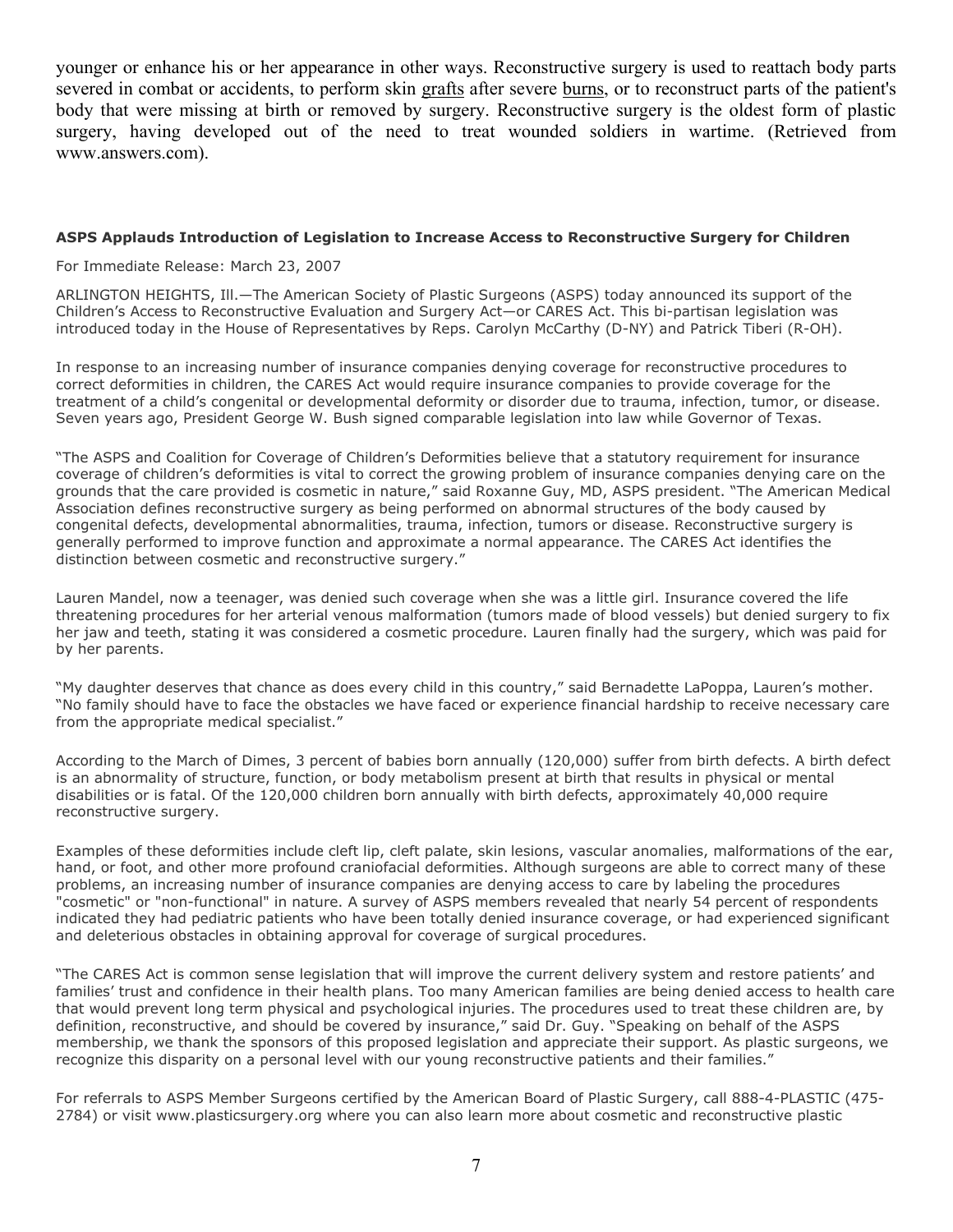younger or enhance his or her appearance in other ways. Reconstructive surgery is used to reattach body parts severed in combat or accidents, to perform skin [grafts](http://www.answers.com/topic/graft) after severe [burns](http://www.answers.com/topic/burn), or to reconstruct parts of the patient's body that were missing at birth or removed by surgery. Reconstructive surgery is the oldest form of plastic surgery, having developed out of the need to treat wounded soldiers in wartime. (Retrieved from www.answers.com).

#### **ASPS Applauds Introduction of Legislation to Increase Access to Reconstructive Surgery for Children**

For Immediate Release: March 23, 2007

ARLINGTON HEIGHTS, Ill.—The American Society of Plastic Surgeons (ASPS) today announced its support of the Children's Access to Reconstructive Evaluation and Surgery Act—or CARES Act. This bi-partisan legislation was introduced today in the House of Representatives by Reps. Carolyn McCarthy (D-NY) and Patrick Tiberi (R-OH).

In response to an increasing number of insurance companies denying coverage for reconstructive procedures to correct deformities in children, the CARES Act would require insurance companies to provide coverage for the treatment of a child's congenital or developmental deformity or disorder due to trauma, infection, tumor, or disease. Seven years ago, President George W. Bush signed comparable legislation into law while Governor of Texas.

"The ASPS and Coalition for Coverage of Children's Deformities believe that a statutory requirement for insurance coverage of children's deformities is vital to correct the growing problem of insurance companies denying care on the grounds that the care provided is cosmetic in nature," said Roxanne Guy, MD, ASPS president. "The American Medical Association defines reconstructive surgery as being performed on abnormal structures of the body caused by congenital defects, developmental abnormalities, trauma, infection, tumors or disease. Reconstructive surgery is generally performed to improve function and approximate a normal appearance. The CARES Act identifies the distinction between cosmetic and reconstructive surgery."

Lauren Mandel, now a teenager, was denied such coverage when she was a little girl. Insurance covered the life threatening procedures for her arterial venous malformation (tumors made of blood vessels) but denied surgery to fix her jaw and teeth, stating it was considered a cosmetic procedure. Lauren finally had the surgery, which was paid for by her parents.

"My daughter deserves that chance as does every child in this country," said Bernadette LaPoppa, Lauren's mother. "No family should have to face the obstacles we have faced or experience financial hardship to receive necessary care from the appropriate medical specialist."

According to the March of Dimes, 3 percent of babies born annually (120,000) suffer from birth defects. A birth defect is an abnormality of structure, function, or body metabolism present at birth that results in physical or mental disabilities or is fatal. Of the 120,000 children born annually with birth defects, approximately 40,000 require reconstructive surgery.

Examples of these deformities include cleft lip, cleft palate, skin lesions, vascular anomalies, malformations of the ear, hand, or foot, and other more profound craniofacial deformities. Although surgeons are able to correct many of these problems, an increasing number of insurance companies are denying access to care by labeling the procedures "cosmetic" or "non-functional" in nature. A survey of ASPS members revealed that nearly 54 percent of respondents indicated they had pediatric patients who have been totally denied insurance coverage, or had experienced significant and deleterious obstacles in obtaining approval for coverage of surgical procedures.

"The CARES Act is common sense legislation that will improve the current delivery system and restore patients' and families' trust and confidence in their health plans. Too many American families are being denied access to health care that would prevent long term physical and psychological injuries. The procedures used to treat these children are, by definition, reconstructive, and should be covered by insurance," said Dr. Guy. "Speaking on behalf of the ASPS membership, we thank the sponsors of this proposed legislation and appreciate their support. As plastic surgeons, we recognize this disparity on a personal level with our young reconstructive patients and their families."

For referrals to ASPS Member Surgeons certified by the American Board of Plastic Surgery, call 888-4-PLASTIC (475- 2784) or visit www.plasticsurgery.org where you can also learn more about cosmetic and reconstructive plastic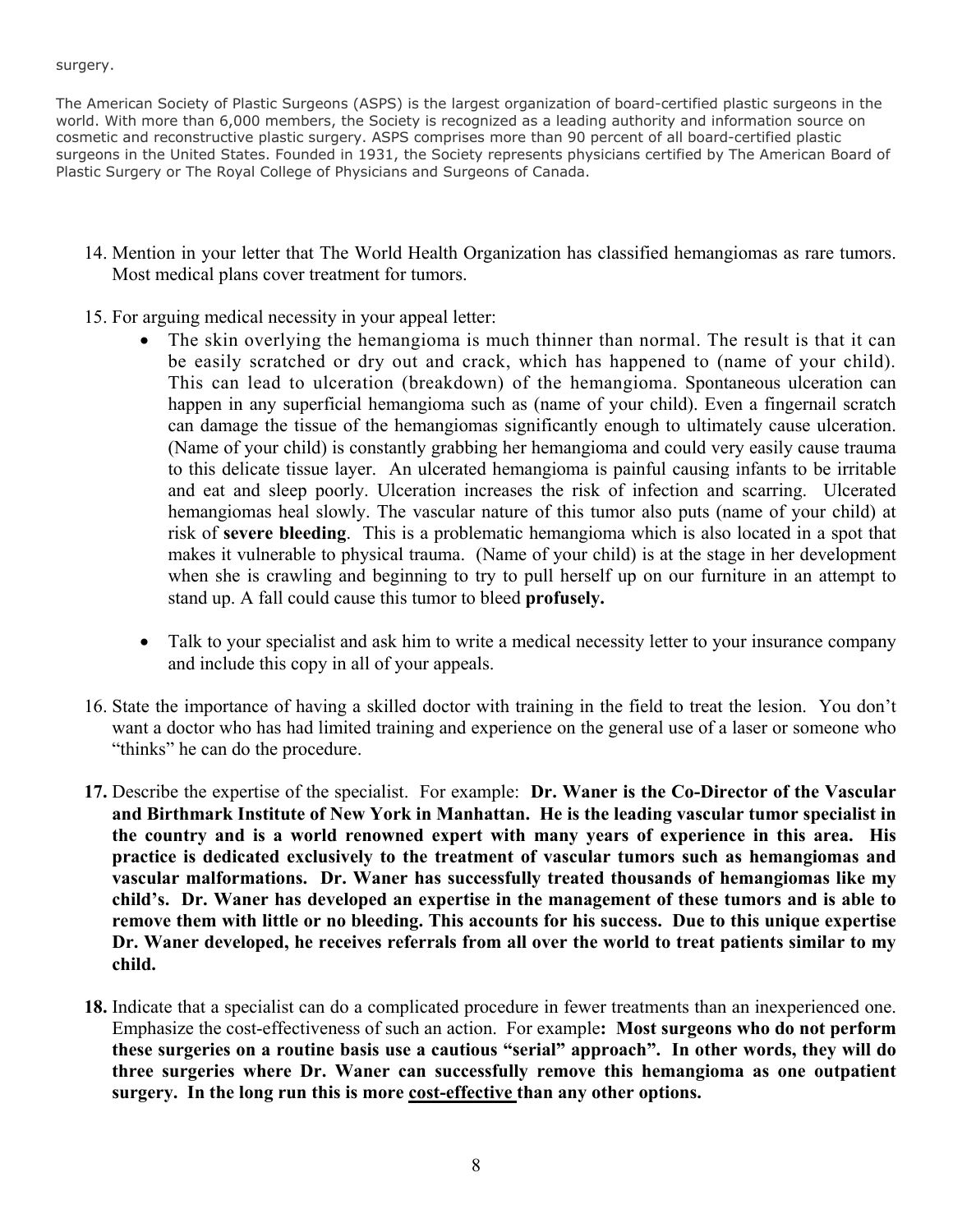surgery.

The American Society of Plastic Surgeons (ASPS) is the largest organization of board-certified plastic surgeons in the world. With more than 6,000 members, the Society is recognized as a leading authority and information source on cosmetic and reconstructive plastic surgery. ASPS comprises more than 90 percent of all board-certified plastic surgeons in the United States. Founded in 1931, the Society represents physicians certified by The American Board of Plastic Surgery or The Royal College of Physicians and Surgeons of Canada.

- 14. Mention in your letter that The World Health Organization has classified hemangiomas as rare tumors. Most medical plans cover treatment for tumors.
- 15. For arguing medical necessity in your appeal letter:
	- The skin overlying the hemangioma is much thinner than normal. The result is that it can be easily scratched or dry out and crack, which has happened to (name of your child). This can lead to ulceration (breakdown) of the hemangioma. Spontaneous ulceration can happen in any superficial hemangioma such as (name of your child). Even a fingernail scratch can damage the tissue of the hemangiomas significantly enough to ultimately cause ulceration. (Name of your child) is constantly grabbing her hemangioma and could very easily cause trauma to this delicate tissue layer. An ulcerated hemangioma is painful causing infants to be irritable and eat and sleep poorly. Ulceration increases the risk of infection and scarring. Ulcerated hemangiomas heal slowly. The vascular nature of this tumor also puts (name of your child) at risk of **severe bleeding**. This is a problematic hemangioma which is also located in a spot that makes it vulnerable to physical trauma. (Name of your child) is at the stage in her development when she is crawling and beginning to try to pull herself up on our furniture in an attempt to stand up. A fall could cause this tumor to bleed **profusely.**
	- Talk to your specialist and ask him to write a medical necessity letter to your insurance company and include this copy in all of your appeals.
- 16. State the importance of having a skilled doctor with training in the field to treat the lesion. You don't want a doctor who has had limited training and experience on the general use of a laser or someone who "thinks" he can do the procedure.
- **17.** Describe the expertise of the specialist. For example: **Dr. Waner is the Co-Director of the Vascular and Birthmark Institute of New York in Manhattan. He is the leading vascular tumor specialist in the country and is a world renowned expert with many years of experience in this area. His practice is dedicated exclusively to the treatment of vascular tumors such as hemangiomas and vascular malformations. Dr. Waner has successfully treated thousands of hemangiomas like my child's. Dr. Waner has developed an expertise in the management of these tumors and is able to remove them with little or no bleeding. This accounts for his success. Due to this unique expertise Dr. Waner developed, he receives referrals from all over the world to treat patients similar to my child.**
- **18.** Indicate that a specialist can do a complicated procedure in fewer treatments than an inexperienced one. Emphasize the cost-effectiveness of such an action.For example**: Most surgeons who do not perform these surgeries on a routine basis use a cautious "serial" approach". In other words, they will do three surgeries where Dr. Waner can successfully remove this hemangioma as one outpatient surgery. In the long run this is more cost-effective than any other options.**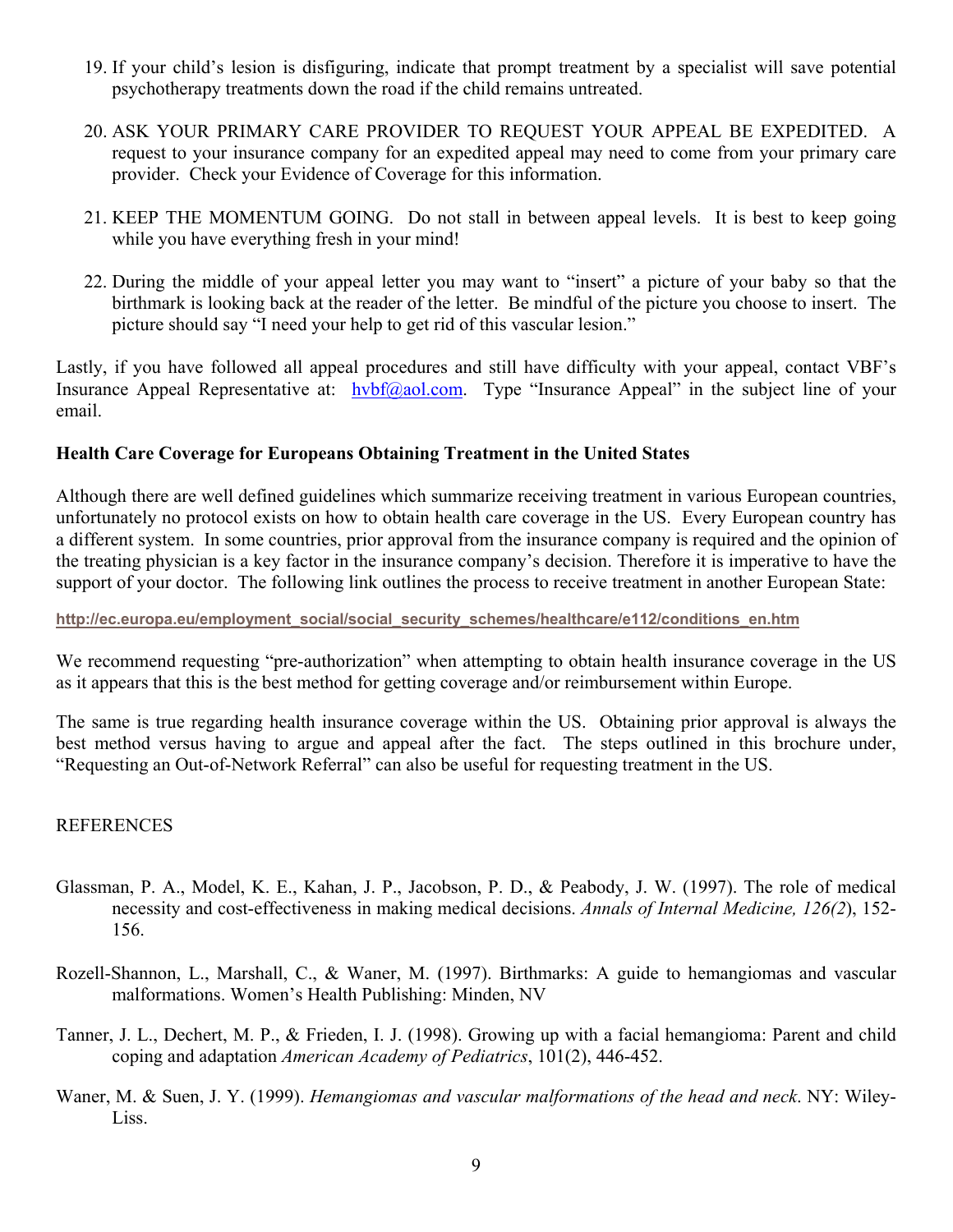- 19. If your child's lesion is disfiguring, indicate that prompt treatment by a specialist will save potential psychotherapy treatments down the road if the child remains untreated.
- 20. ASK YOUR PRIMARY CARE PROVIDER TO REQUEST YOUR APPEAL BE EXPEDITED. A request to your insurance company for an expedited appeal may need to come from your primary care provider. Check your Evidence of Coverage for this information.
- 21. KEEP THE MOMENTUM GOING. Do not stall in between appeal levels. It is best to keep going while you have everything fresh in your mind!
- 22. During the middle of your appeal letter you may want to "insert" a picture of your baby so that the birthmark is looking back at the reader of the letter. Be mindful of the picture you choose to insert. The picture should say "I need your help to get rid of this vascular lesion."

Lastly, if you have followed all appeal procedures and still have difficulty with your appeal, contact VBF's Insurance Appeal Representative at: [hvbf@aol.com.](mailto:hvbf@aol.com) Type "Insurance Appeal" in the subject line of your email.

# **Health Care Coverage for Europeans Obtaining Treatment in the United States**

Although there are well defined guidelines which summarize receiving treatment in various European countries, unfortunately no protocol exists on how to obtain health care coverage in the US. Every European country has a different system. In some countries, prior approval from the insurance company is required and the opinion of the treating physician is a key factor in the insurance company's decision. Therefore it is imperative to have the support of your doctor. The following link outlines the process to receive treatment in another European State:

#### **[http://ec.europa.eu/employment\\_social/social\\_security\\_schemes/healthcare/e112/conditions\\_en.htm](http://ec.europa.eu/employment_social/social_security_schemes/healthcare/e112/conditions_en.htm)**

We recommend requesting "pre-authorization" when attempting to obtain health insurance coverage in the US as it appears that this is the best method for getting coverage and/or reimbursement within Europe.

The same is true regarding health insurance coverage within the US. Obtaining prior approval is always the best method versus having to argue and appeal after the fact. The steps outlined in this brochure under, "Requesting an Out-of-Network Referral" can also be useful for requesting treatment in the US.

# REFERENCES

- Glassman, P. A., Model, K. E., Kahan, J. P., Jacobson, P. D., & Peabody, J. W. (1997). The role of medical necessity and cost-effectiveness in making medical decisions. *Annals of Internal Medicine, 126(2*), 152- 156.
- Rozell-Shannon, L., Marshall, C., & Waner, M. (1997). Birthmarks: A guide to hemangiomas and vascular malformations. Women's Health Publishing: Minden, NV
- Tanner, J. L., Dechert, M. P., & Frieden, I. J. (1998). Growing up with a facial hemangioma: Parent and child coping and adaptation *American Academy of Pediatrics*, 101(2), 446-452.
- Waner, M. & Suen, J. Y. (1999). *Hemangiomas and vascular malformations of the head and neck*. NY: Wiley-Liss.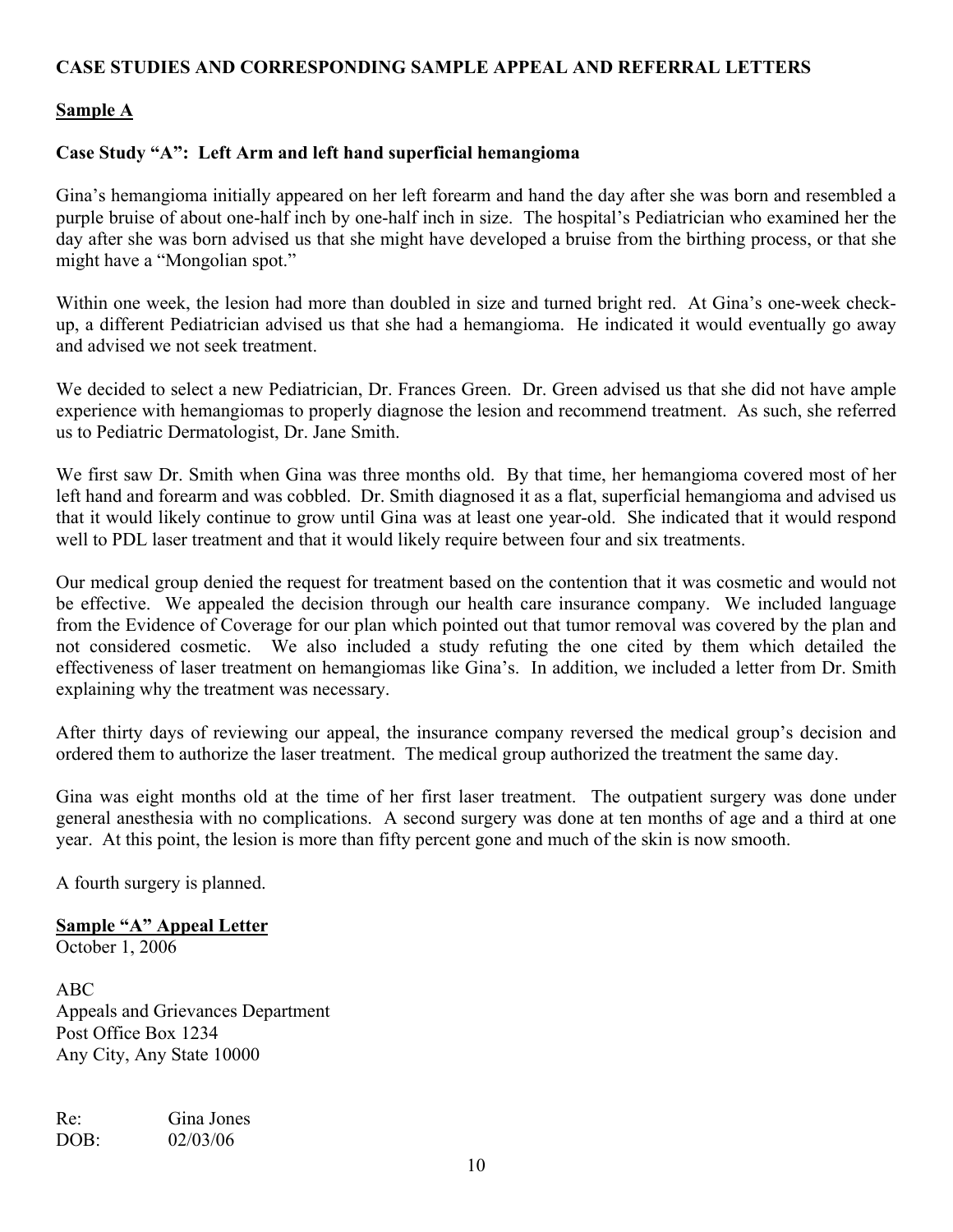# **CASE STUDIES AND CORRESPONDING SAMPLE APPEAL AND REFERRAL LETTERS**

# **Sample A**

# **Case Study "A": Left Arm and left hand superficial hemangioma**

Gina's hemangioma initially appeared on her left forearm and hand the day after she was born and resembled a purple bruise of about one-half inch by one-half inch in size. The hospital's Pediatrician who examined her the day after she was born advised us that she might have developed a bruise from the birthing process, or that she might have a "Mongolian spot."

Within one week, the lesion had more than doubled in size and turned bright red. At Gina's one-week checkup, a different Pediatrician advised us that she had a hemangioma. He indicated it would eventually go away and advised we not seek treatment.

We decided to select a new Pediatrician, Dr. Frances Green. Dr. Green advised us that she did not have ample experience with hemangiomas to properly diagnose the lesion and recommend treatment. As such, she referred us to Pediatric Dermatologist, Dr. Jane Smith.

We first saw Dr. Smith when Gina was three months old. By that time, her hemangioma covered most of her left hand and forearm and was cobbled. Dr. Smith diagnosed it as a flat, superficial hemangioma and advised us that it would likely continue to grow until Gina was at least one year-old. She indicated that it would respond well to PDL laser treatment and that it would likely require between four and six treatments.

Our medical group denied the request for treatment based on the contention that it was cosmetic and would not be effective. We appealed the decision through our health care insurance company. We included language from the Evidence of Coverage for our plan which pointed out that tumor removal was covered by the plan and not considered cosmetic. We also included a study refuting the one cited by them which detailed the effectiveness of laser treatment on hemangiomas like Gina's. In addition, we included a letter from Dr. Smith explaining why the treatment was necessary.

After thirty days of reviewing our appeal, the insurance company reversed the medical group's decision and ordered them to authorize the laser treatment. The medical group authorized the treatment the same day.

Gina was eight months old at the time of her first laser treatment. The outpatient surgery was done under general anesthesia with no complications. A second surgery was done at ten months of age and a third at one year. At this point, the lesion is more than fifty percent gone and much of the skin is now smooth.

A fourth surgery is planned.

**Sample "A" Appeal Letter**  October 1, 2006

ABC Appeals and Grievances Department Post Office Box 1234 Any City, Any State 10000

Re: Gina Jones DOB: 02/03/06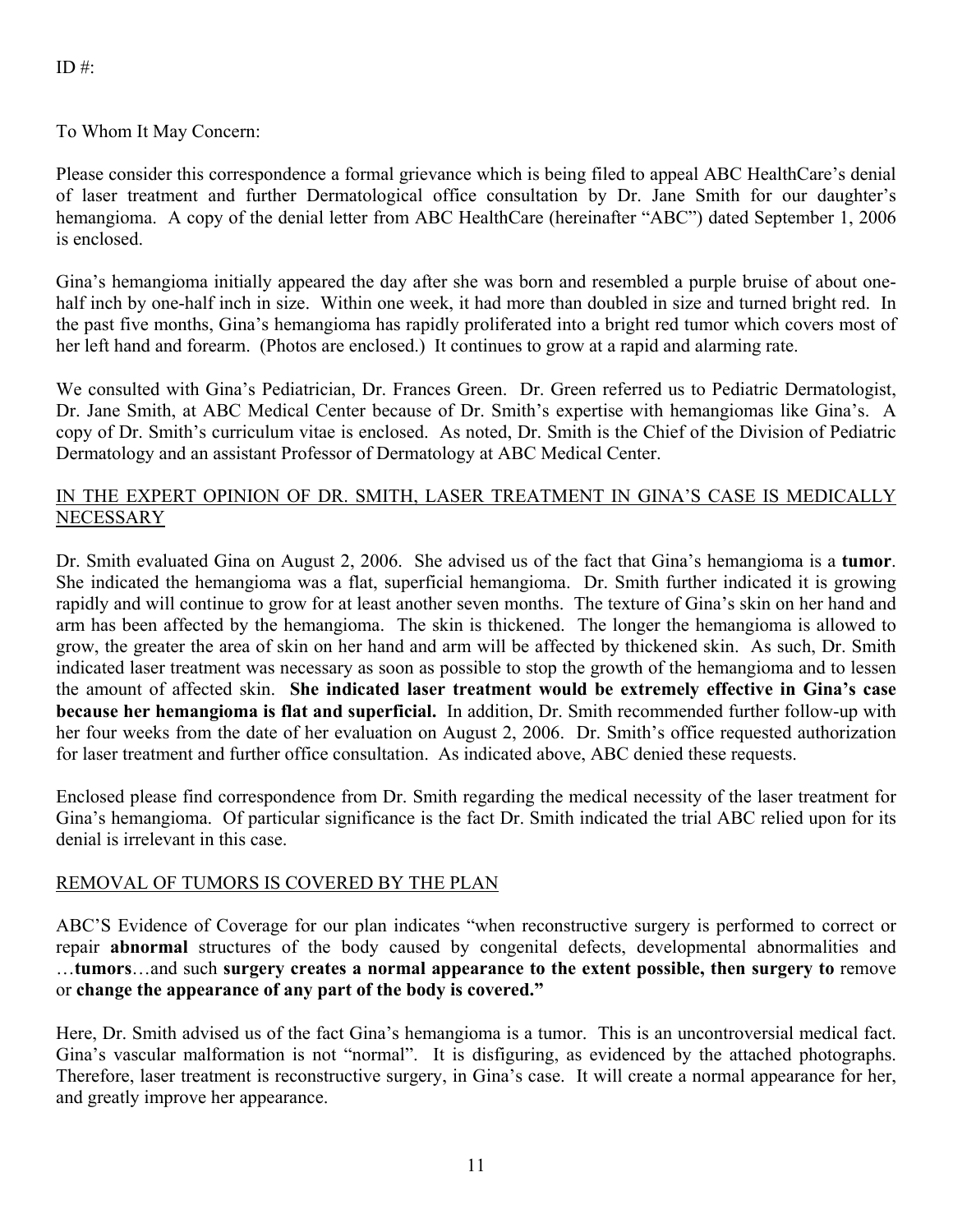# To Whom It May Concern:

Please consider this correspondence a formal grievance which is being filed to appeal ABC HealthCare's denial of laser treatment and further Dermatological office consultation by Dr. Jane Smith for our daughter's hemangioma. A copy of the denial letter from ABC HealthCare (hereinafter "ABC") dated September 1, 2006 is enclosed.

Gina's hemangioma initially appeared the day after she was born and resembled a purple bruise of about onehalf inch by one-half inch in size. Within one week, it had more than doubled in size and turned bright red. In the past five months, Gina's hemangioma has rapidly proliferated into a bright red tumor which covers most of her left hand and forearm. (Photos are enclosed.) It continues to grow at a rapid and alarming rate.

We consulted with Gina's Pediatrician, Dr. Frances Green. Dr. Green referred us to Pediatric Dermatologist, Dr. Jane Smith, at ABC Medical Center because of Dr. Smith's expertise with hemangiomas like Gina's. A copy of Dr. Smith's curriculum vitae is enclosed. As noted, Dr. Smith is the Chief of the Division of Pediatric Dermatology and an assistant Professor of Dermatology at ABC Medical Center.

# IN THE EXPERT OPINION OF DR. SMITH, LASER TREATMENT IN GINA'S CASE IS MEDICALLY **NECESSARY**

Dr. Smith evaluated Gina on August 2, 2006. She advised us of the fact that Gina's hemangioma is a **tumor**. She indicated the hemangioma was a flat, superficial hemangioma. Dr. Smith further indicated it is growing rapidly and will continue to grow for at least another seven months. The texture of Gina's skin on her hand and arm has been affected by the hemangioma. The skin is thickened. The longer the hemangioma is allowed to grow, the greater the area of skin on her hand and arm will be affected by thickened skin. As such, Dr. Smith indicated laser treatment was necessary as soon as possible to stop the growth of the hemangioma and to lessen the amount of affected skin. **She indicated laser treatment would be extremely effective in Gina's case because her hemangioma is flat and superficial.** In addition, Dr. Smith recommended further follow-up with her four weeks from the date of her evaluation on August 2, 2006. Dr. Smith's office requested authorization for laser treatment and further office consultation. As indicated above, ABC denied these requests.

Enclosed please find correspondence from Dr. Smith regarding the medical necessity of the laser treatment for Gina's hemangioma. Of particular significance is the fact Dr. Smith indicated the trial ABC relied upon for its denial is irrelevant in this case.

# REMOVAL OF TUMORS IS COVERED BY THE PLAN

ABC'S Evidence of Coverage for our plan indicates "when reconstructive surgery is performed to correct or repair **abnormal** structures of the body caused by congenital defects, developmental abnormalities and …**tumors**…and such **surgery creates a normal appearance to the extent possible, then surgery to** remove or **change the appearance of any part of the body is covered."** 

Here, Dr. Smith advised us of the fact Gina's hemangioma is a tumor. This is an uncontroversial medical fact. Gina's vascular malformation is not "normal". It is disfiguring, as evidenced by the attached photographs. Therefore, laser treatment is reconstructive surgery, in Gina's case. It will create a normal appearance for her, and greatly improve her appearance.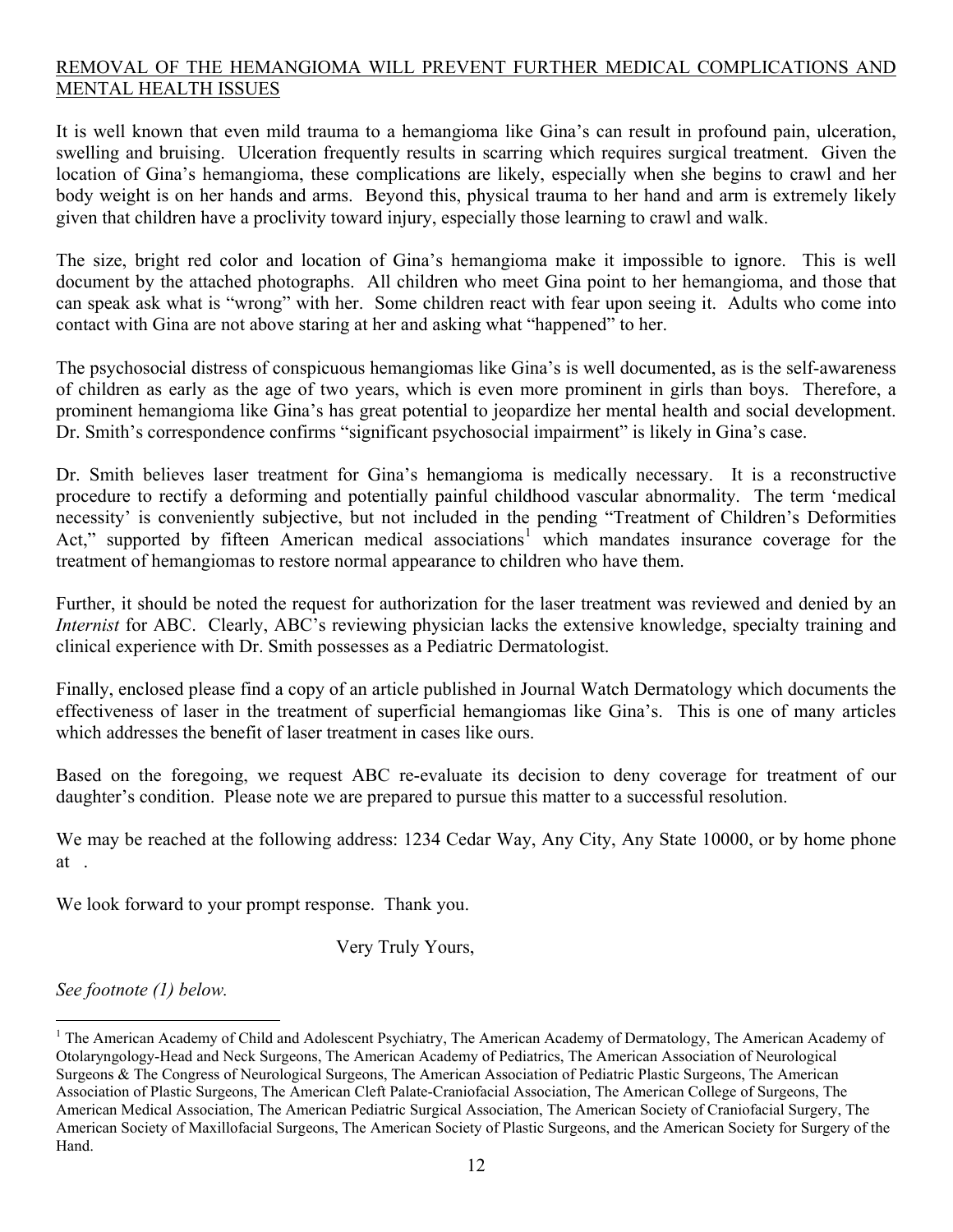# REMOVAL OF THE HEMANGIOMA WILL PREVENT FURTHER MEDICAL COMPLICATIONS AND MENTAL HEALTH ISSUES

It is well known that even mild trauma to a hemangioma like Gina's can result in profound pain, ulceration, swelling and bruising. Ulceration frequently results in scarring which requires surgical treatment. Given the location of Gina's hemangioma, these complications are likely, especially when she begins to crawl and her body weight is on her hands and arms. Beyond this, physical trauma to her hand and arm is extremely likely given that children have a proclivity toward injury, especially those learning to crawl and walk.

The size, bright red color and location of Gina's hemangioma make it impossible to ignore. This is well document by the attached photographs. All children who meet Gina point to her hemangioma, and those that can speak ask what is "wrong" with her. Some children react with fear upon seeing it. Adults who come into contact with Gina are not above staring at her and asking what "happened" to her.

The psychosocial distress of conspicuous hemangiomas like Gina's is well documented, as is the self-awareness of children as early as the age of two years, which is even more prominent in girls than boys. Therefore, a prominent hemangioma like Gina's has great potential to jeopardize her mental health and social development. Dr. Smith's correspondence confirms "significant psychosocial impairment" is likely in Gina's case.

Dr. Smith believes laser treatment for Gina's hemangioma is medically necessary. It is a reconstructive procedure to rectify a deforming and potentially painful childhood vascular abnormality. The term 'medical necessity' is conveniently subjective, but not included in the pending "Treatment of Children's Deformities Act," supported by fifteen American medical associations<sup>[1](#page-11-0)</sup> which mandates insurance coverage for the treatment of hemangiomas to restore normal appearance to children who have them.

Further, it should be noted the request for authorization for the laser treatment was reviewed and denied by an *Internist* for ABC. Clearly, ABC's reviewing physician lacks the extensive knowledge, specialty training and clinical experience with Dr. Smith possesses as a Pediatric Dermatologist.

Finally, enclosed please find a copy of an article published in Journal Watch Dermatology which documents the effectiveness of laser in the treatment of superficial hemangiomas like Gina's. This is one of many articles which addresses the benefit of laser treatment in cases like ours.

Based on the foregoing, we request ABC re-evaluate its decision to deny coverage for treatment of our daughter's condition. Please note we are prepared to pursue this matter to a successful resolution.

We may be reached at the following address: 1234 Cedar Way, Any City, Any State 10000, or by home phone at .

We look forward to your prompt response. Thank you.

Very Truly Yours,

*See footnote (1) below.* 

 $\overline{a}$ 

<span id="page-11-0"></span><sup>&</sup>lt;sup>1</sup> The American Academy of Child and Adolescent Psychiatry, The American Academy of Dermatology, The American Academy of Otolaryngology-Head and Neck Surgeons, The American Academy of Pediatrics, The American Association of Neurological Surgeons & The Congress of Neurological Surgeons, The American Association of Pediatric Plastic Surgeons, The American Association of Plastic Surgeons, The American Cleft Palate-Craniofacial Association, The American College of Surgeons, The American Medical Association, The American Pediatric Surgical Association, The American Society of Craniofacial Surgery, The American Society of Maxillofacial Surgeons, The American Society of Plastic Surgeons, and the American Society for Surgery of the Hand.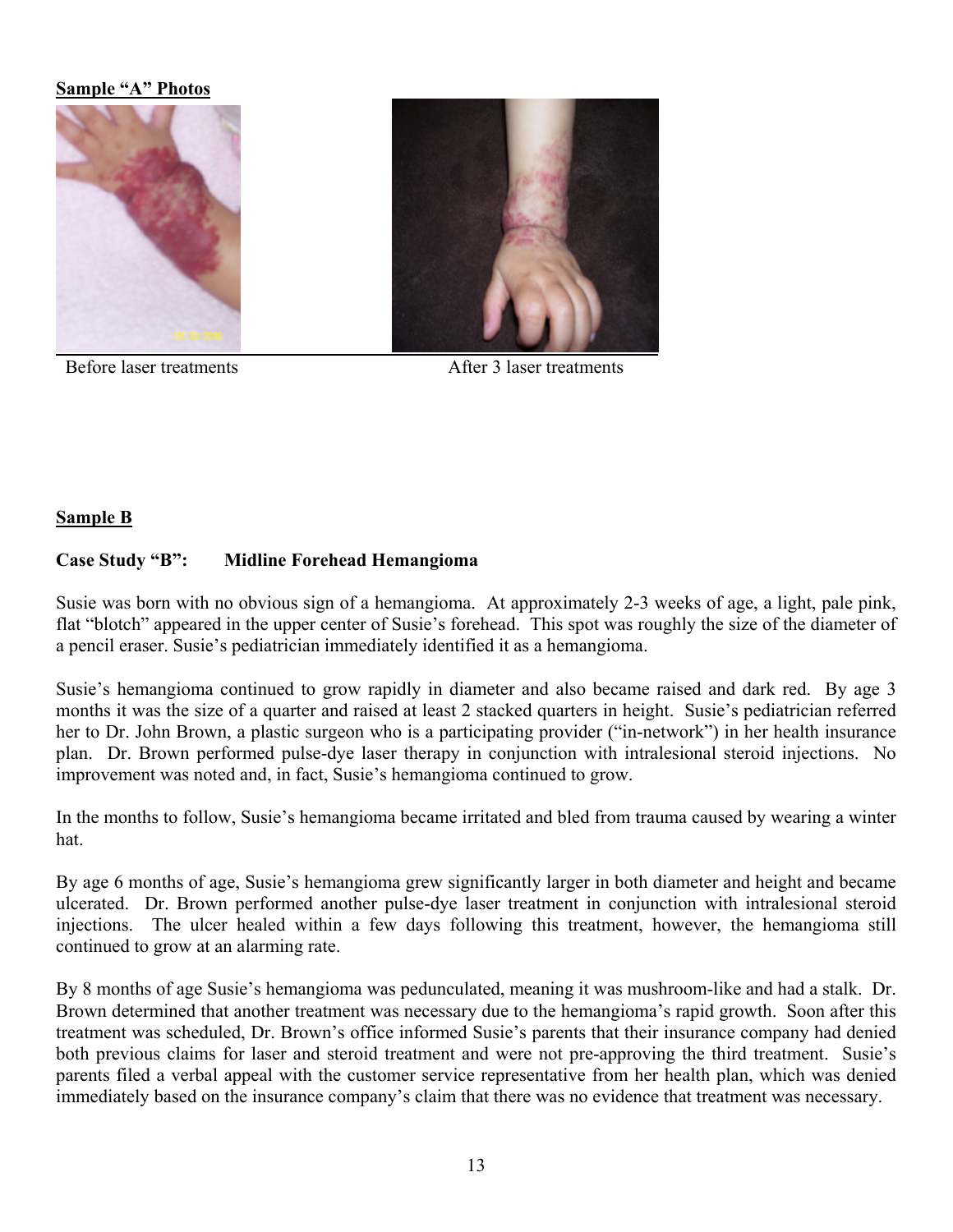#### **Sample "A" Photos**



Before laser treatments After 3 laser treatments

# **Sample B**

# **Case Study "B": Midline Forehead Hemangioma**

Susie was born with no obvious sign of a hemangioma. At approximately 2-3 weeks of age, a light, pale pink, flat "blotch" appeared in the upper center of Susie's forehead. This spot was roughly the size of the diameter of a pencil eraser. Susie's pediatrician immediately identified it as a hemangioma.

Susie's hemangioma continued to grow rapidly in diameter and also became raised and dark red. By age 3 months it was the size of a quarter and raised at least 2 stacked quarters in height. Susie's pediatrician referred her to Dr. John Brown, a plastic surgeon who is a participating provider ("in-network") in her health insurance plan. Dr. Brown performed pulse-dye laser therapy in conjunction with intralesional steroid injections. No improvement was noted and, in fact, Susie's hemangioma continued to grow.

In the months to follow, Susie's hemangioma became irritated and bled from trauma caused by wearing a winter hat.

By age 6 months of age, Susie's hemangioma grew significantly larger in both diameter and height and became ulcerated. Dr. Brown performed another pulse-dye laser treatment in conjunction with intralesional steroid injections. The ulcer healed within a few days following this treatment, however, the hemangioma still continued to grow at an alarming rate.

By 8 months of age Susie's hemangioma was pedunculated, meaning it was mushroom-like and had a stalk. Dr. Brown determined that another treatment was necessary due to the hemangioma's rapid growth. Soon after this treatment was scheduled, Dr. Brown's office informed Susie's parents that their insurance company had denied both previous claims for laser and steroid treatment and were not pre-approving the third treatment. Susie's parents filed a verbal appeal with the customer service representative from her health plan, which was denied immediately based on the insurance company's claim that there was no evidence that treatment was necessary.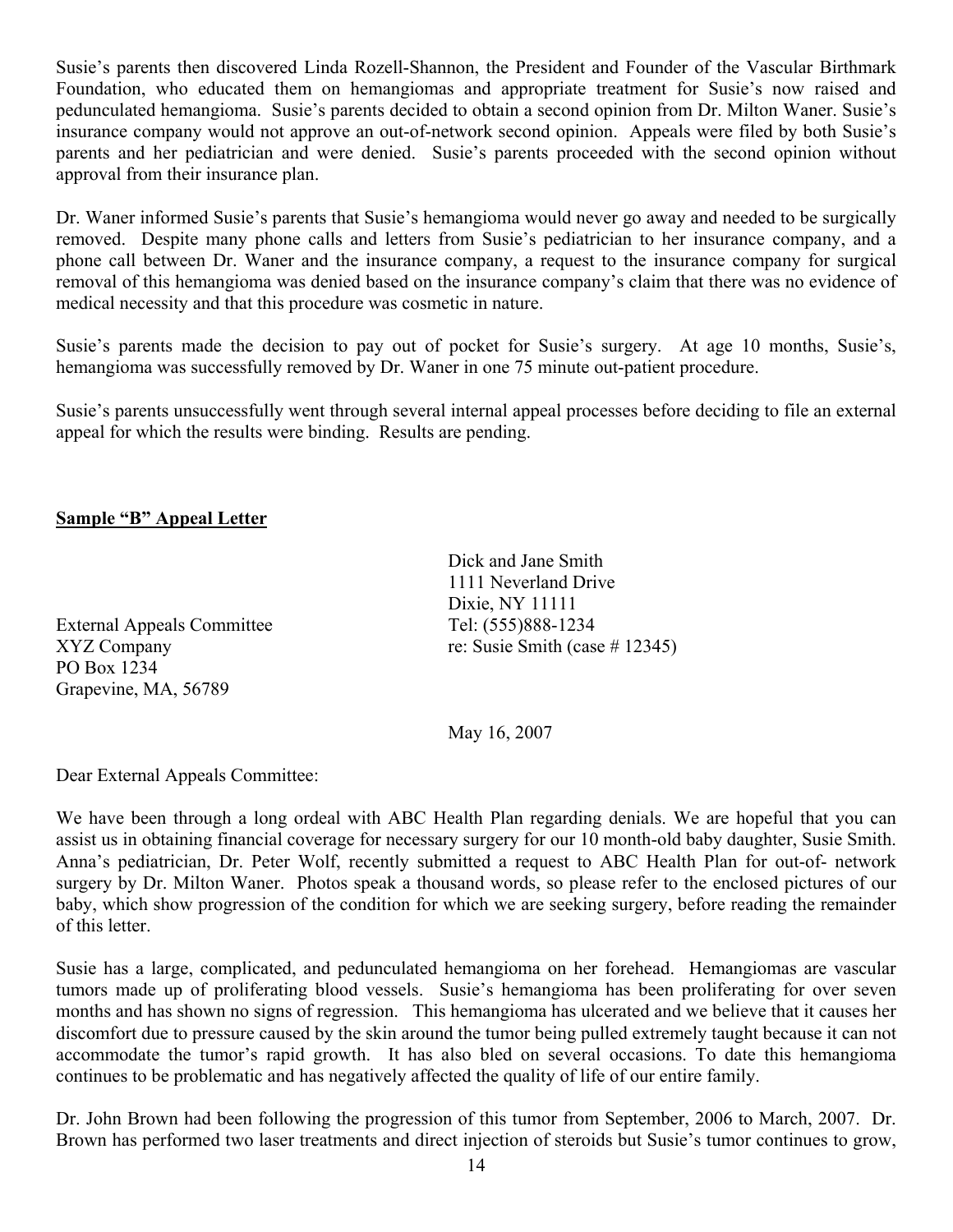Susie's parents then discovered Linda Rozell-Shannon, the President and Founder of the Vascular Birthmark Foundation, who educated them on hemangiomas and appropriate treatment for Susie's now raised and pedunculated hemangioma. Susie's parents decided to obtain a second opinion from Dr. Milton Waner. Susie's insurance company would not approve an out-of-network second opinion. Appeals were filed by both Susie's parents and her pediatrician and were denied. Susie's parents proceeded with the second opinion without approval from their insurance plan.

Dr. Waner informed Susie's parents that Susie's hemangioma would never go away and needed to be surgically removed. Despite many phone calls and letters from Susie's pediatrician to her insurance company, and a phone call between Dr. Waner and the insurance company, a request to the insurance company for surgical removal of this hemangioma was denied based on the insurance company's claim that there was no evidence of medical necessity and that this procedure was cosmetic in nature.

Susie's parents made the decision to pay out of pocket for Susie's surgery. At age 10 months, Susie's, hemangioma was successfully removed by Dr. Waner in one 75 minute out-patient procedure.

Susie's parents unsuccessfully went through several internal appeal processes before deciding to file an external appeal for which the results were binding. Results are pending.

# **Sample "B" Appeal Letter**

External Appeals Committee Tel: (555)888-1234 PO Box 1234 Grapevine, MA, 56789

Dick and Jane Smith 1111 Neverland Drive Dixie, NY 11111 XYZ Company re: Susie Smith (case # 12345)

May 16, 2007

Dear External Appeals Committee:

We have been through a long ordeal with ABC Health Plan regarding denials. We are hopeful that you can assist us in obtaining financial coverage for necessary surgery for our 10 month-old baby daughter, Susie Smith. Anna's pediatrician, Dr. Peter Wolf, recently submitted a request to ABC Health Plan for out-of- network surgery by Dr. Milton Waner. Photos speak a thousand words, so please refer to the enclosed pictures of our baby, which show progression of the condition for which we are seeking surgery, before reading the remainder of this letter.

Susie has a large, complicated, and pedunculated hemangioma on her forehead. Hemangiomas are vascular tumors made up of proliferating blood vessels. Susie's hemangioma has been proliferating for over seven months and has shown no signs of regression. This hemangioma has ulcerated and we believe that it causes her discomfort due to pressure caused by the skin around the tumor being pulled extremely taught because it can not accommodate the tumor's rapid growth. It has also bled on several occasions. To date this hemangioma continues to be problematic and has negatively affected the quality of life of our entire family.

Dr. John Brown had been following the progression of this tumor from September, 2006 to March, 2007. Dr. Brown has performed two laser treatments and direct injection of steroids but Susie's tumor continues to grow,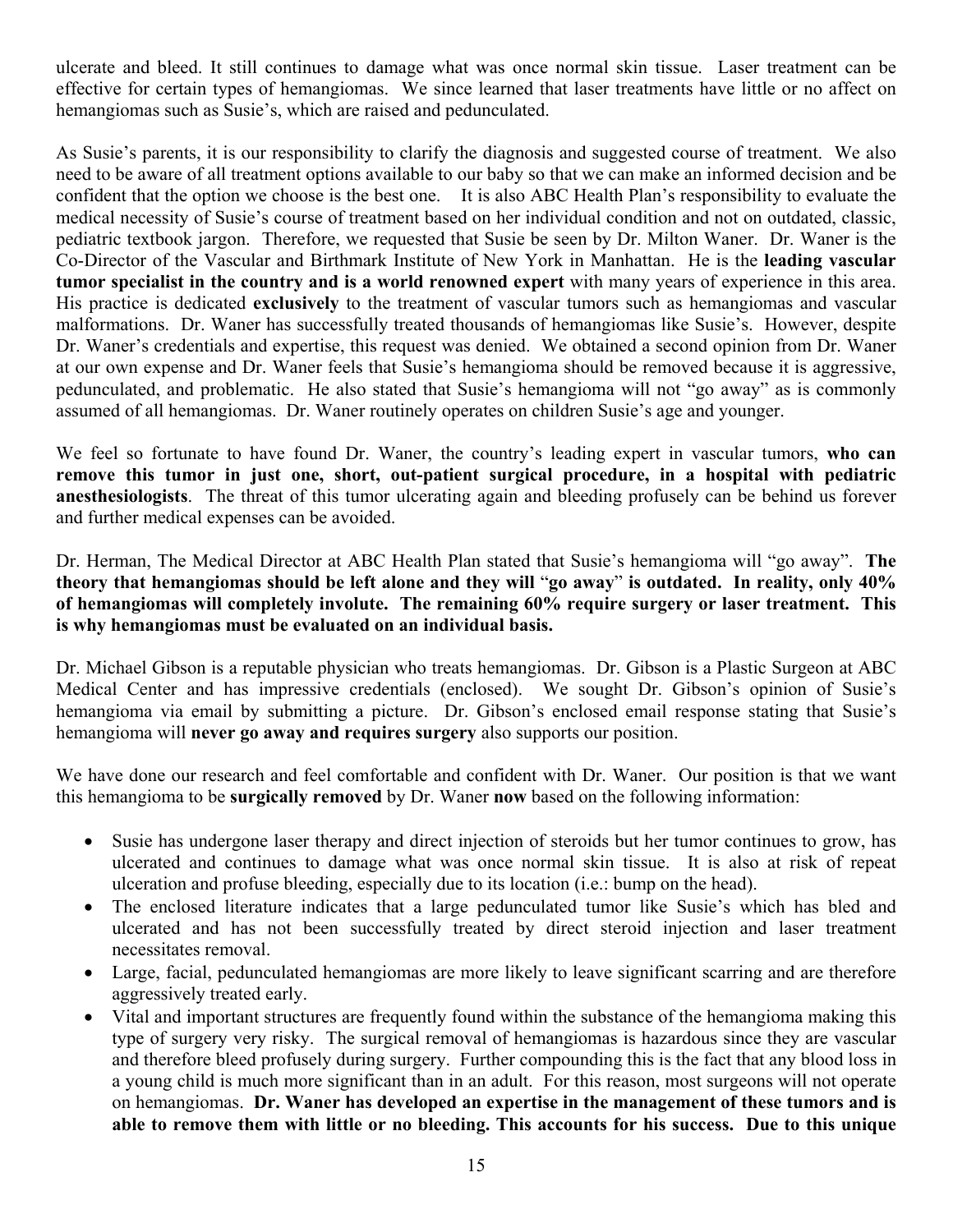ulcerate and bleed. It still continues to damage what was once normal skin tissue. Laser treatment can be effective for certain types of hemangiomas. We since learned that laser treatments have little or no affect on hemangiomas such as Susie's, which are raised and pedunculated.

As Susie's parents, it is our responsibility to clarify the diagnosis and suggested course of treatment. We also need to be aware of all treatment options available to our baby so that we can make an informed decision and be confident that the option we choose is the best one. It is also ABC Health Plan's responsibility to evaluate the medical necessity of Susie's course of treatment based on her individual condition and not on outdated, classic, pediatric textbook jargon. Therefore, we requested that Susie be seen by Dr. Milton Waner. Dr. Waner is the Co-Director of the Vascular and Birthmark Institute of New York in Manhattan. He is the **leading vascular tumor specialist in the country and is a world renowned expert** with many years of experience in this area. His practice is dedicated **exclusively** to the treatment of vascular tumors such as hemangiomas and vascular malformations. Dr. Waner has successfully treated thousands of hemangiomas like Susie's. However, despite Dr. Waner's credentials and expertise, this request was denied. We obtained a second opinion from Dr. Waner at our own expense and Dr. Waner feels that Susie's hemangioma should be removed because it is aggressive, pedunculated, and problematic. He also stated that Susie's hemangioma will not "go away" as is commonly assumed of all hemangiomas. Dr. Waner routinely operates on children Susie's age and younger.

We feel so fortunate to have found Dr. Waner, the country's leading expert in vascular tumors, **who can remove this tumor in just one, short, out-patient surgical procedure, in a hospital with pediatric anesthesiologists**. The threat of this tumor ulcerating again and bleeding profusely can be behind us forever and further medical expenses can be avoided.

Dr. Herman, The Medical Director at ABC Health Plan stated that Susie's hemangioma will "go away". **The theory that hemangiomas should be left alone and they will** "**go away**" **is outdated. In reality, only 40% of hemangiomas will completely involute. The remaining 60% require surgery or laser treatment. This is why hemangiomas must be evaluated on an individual basis.** 

Dr. Michael Gibson is a reputable physician who treats hemangiomas. Dr. Gibson is a Plastic Surgeon at ABC Medical Center and has impressive credentials (enclosed). We sought Dr. Gibson's opinion of Susie's hemangioma via email by submitting a picture. Dr. Gibson's enclosed email response stating that Susie's hemangioma will **never go away and requires surgery** also supports our position.

We have done our research and feel comfortable and confident with Dr. Waner. Our position is that we want this hemangioma to be **surgically removed** by Dr. Waner **now** based on the following information:

- Susie has undergone laser therapy and direct injection of steroids but her tumor continues to grow, has ulcerated and continues to damage what was once normal skin tissue. It is also at risk of repeat ulceration and profuse bleeding, especially due to its location (i.e.: bump on the head).
- The enclosed literature indicates that a large pedunculated tumor like Susie's which has bled and ulcerated and has not been successfully treated by direct steroid injection and laser treatment necessitates removal.
- Large, facial, pedunculated hemangiomas are more likely to leave significant scarring and are therefore aggressively treated early.
- Vital and important structures are frequently found within the substance of the hemangioma making this type of surgery very risky. The surgical removal of hemangiomas is hazardous since they are vascular and therefore bleed profusely during surgery. Further compounding this is the fact that any blood loss in a young child is much more significant than in an adult. For this reason, most surgeons will not operate on hemangiomas. **Dr. Waner has developed an expertise in the management of these tumors and is able to remove them with little or no bleeding. This accounts for his success. Due to this unique**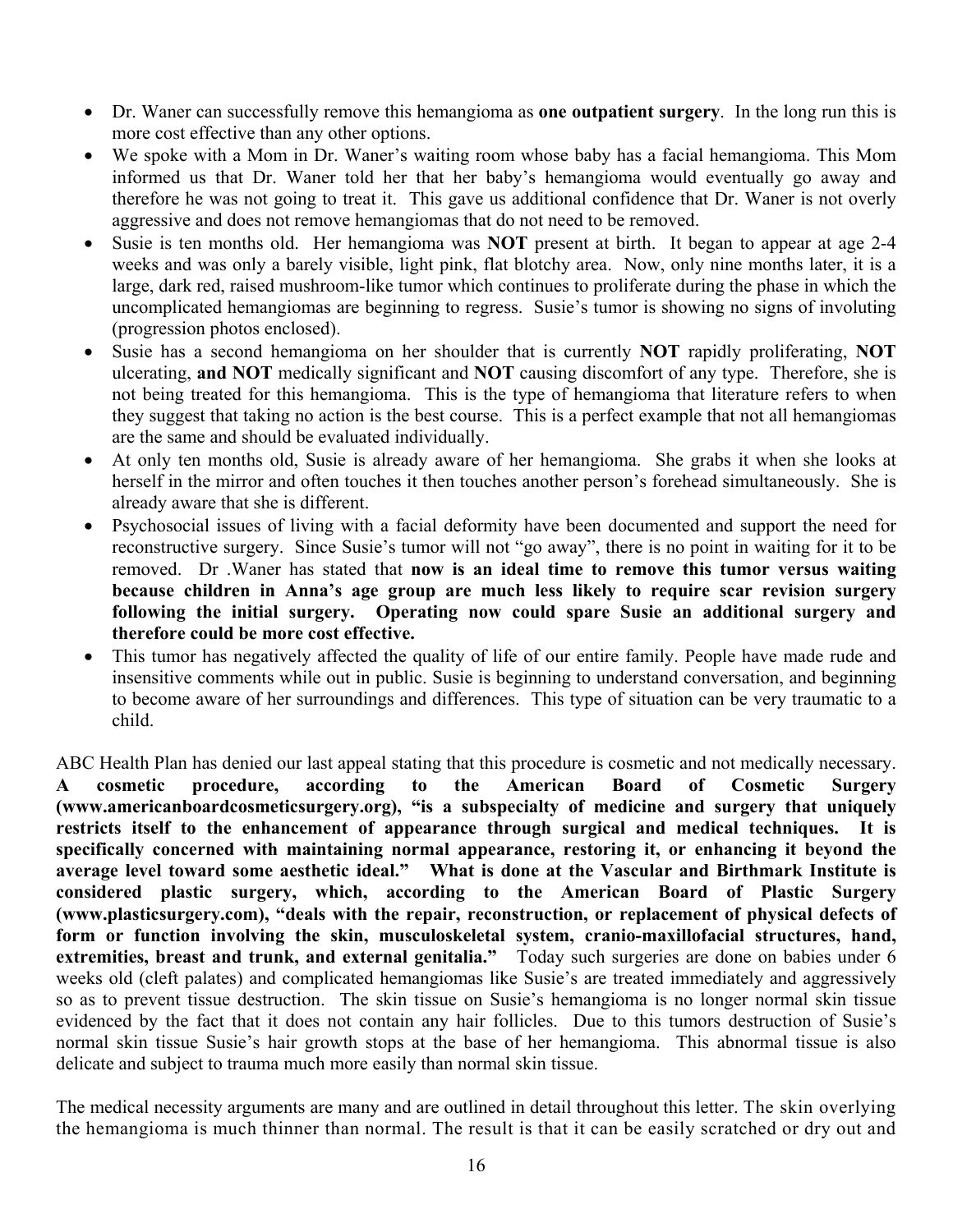- Dr. Waner can successfully remove this hemangioma as **one outpatient surgery**. In the long run this is more cost effective than any other options.
- We spoke with a Mom in Dr. Waner's waiting room whose baby has a facial hemangioma. This Mom informed us that Dr. Waner told her that her baby's hemangioma would eventually go away and therefore he was not going to treat it. This gave us additional confidence that Dr. Waner is not overly aggressive and does not remove hemangiomas that do not need to be removed.
- Susie is ten months old. Her hemangioma was **NOT** present at birth. It began to appear at age 2-4 weeks and was only a barely visible, light pink, flat blotchy area. Now, only nine months later, it is a large, dark red, raised mushroom-like tumor which continues to proliferate during the phase in which the uncomplicated hemangiomas are beginning to regress. Susie's tumor is showing no signs of involuting (progression photos enclosed).
- Susie has a second hemangioma on her shoulder that is currently **NOT** rapidly proliferating, **NOT**  ulcerating, **and NOT** medically significant and **NOT** causing discomfort of any type. Therefore, she is not being treated for this hemangioma. This is the type of hemangioma that literature refers to when they suggest that taking no action is the best course. This is a perfect example that not all hemangiomas are the same and should be evaluated individually.
- At only ten months old, Susie is already aware of her hemangioma. She grabs it when she looks at herself in the mirror and often touches it then touches another person's forehead simultaneously. She is already aware that she is different.
- Psychosocial issues of living with a facial deformity have been documented and support the need for reconstructive surgery. Since Susie's tumor will not "go away", there is no point in waiting for it to be removed. Dr .Waner has stated that **now is an ideal time to remove this tumor versus waiting because children in Anna's age group are much less likely to require scar revision surgery following the initial surgery. Operating now could spare Susie an additional surgery and therefore could be more cost effective.**
- This tumor has negatively affected the quality of life of our entire family. People have made rude and insensitive comments while out in public. Susie is beginning to understand conversation, and beginning to become aware of her surroundings and differences. This type of situation can be very traumatic to a child.

ABC Health Plan has denied our last appeal stating that this procedure is cosmetic and not medically necessary. **A cosmetic procedure, according to the American Board of Cosmetic Surgery ([www.americanboardcosmeticsurgery.org](http://www.americanboardcosmeticsurgery.org/)), "is a subspecialty of medicine and surgery that uniquely restricts itself to the enhancement of appearance through surgical and medical techniques. It is specifically concerned with maintaining normal appearance, restoring it, or enhancing it beyond the average level toward some aesthetic ideal." What is done at the Vascular and Birthmark Institute is considered plastic surgery, which, according to the American Board of Plastic Surgery ([www.plasticsurgery.com](http://www.plasticsurgery.com/)), "deals with the repair, reconstruction, or replacement of physical defects of form or function involving the skin, musculoskeletal system, cranio-maxillofacial structures, hand, extremities, breast and trunk, and external genitalia."** Today such surgeries are done on babies under 6 weeks old (cleft palates) and complicated hemangiomas like Susie's are treated immediately and aggressively so as to prevent tissue destruction. The skin tissue on Susie's hemangioma is no longer normal skin tissue evidenced by the fact that it does not contain any hair follicles. Due to this tumors destruction of Susie's normal skin tissue Susie's hair growth stops at the base of her hemangioma. This abnormal tissue is also delicate and subject to trauma much more easily than normal skin tissue.

The medical necessity arguments are many and are outlined in detail throughout this letter. The skin overlying the hemangioma is much thinner than normal. The result is that it can be easily scratched or dry out and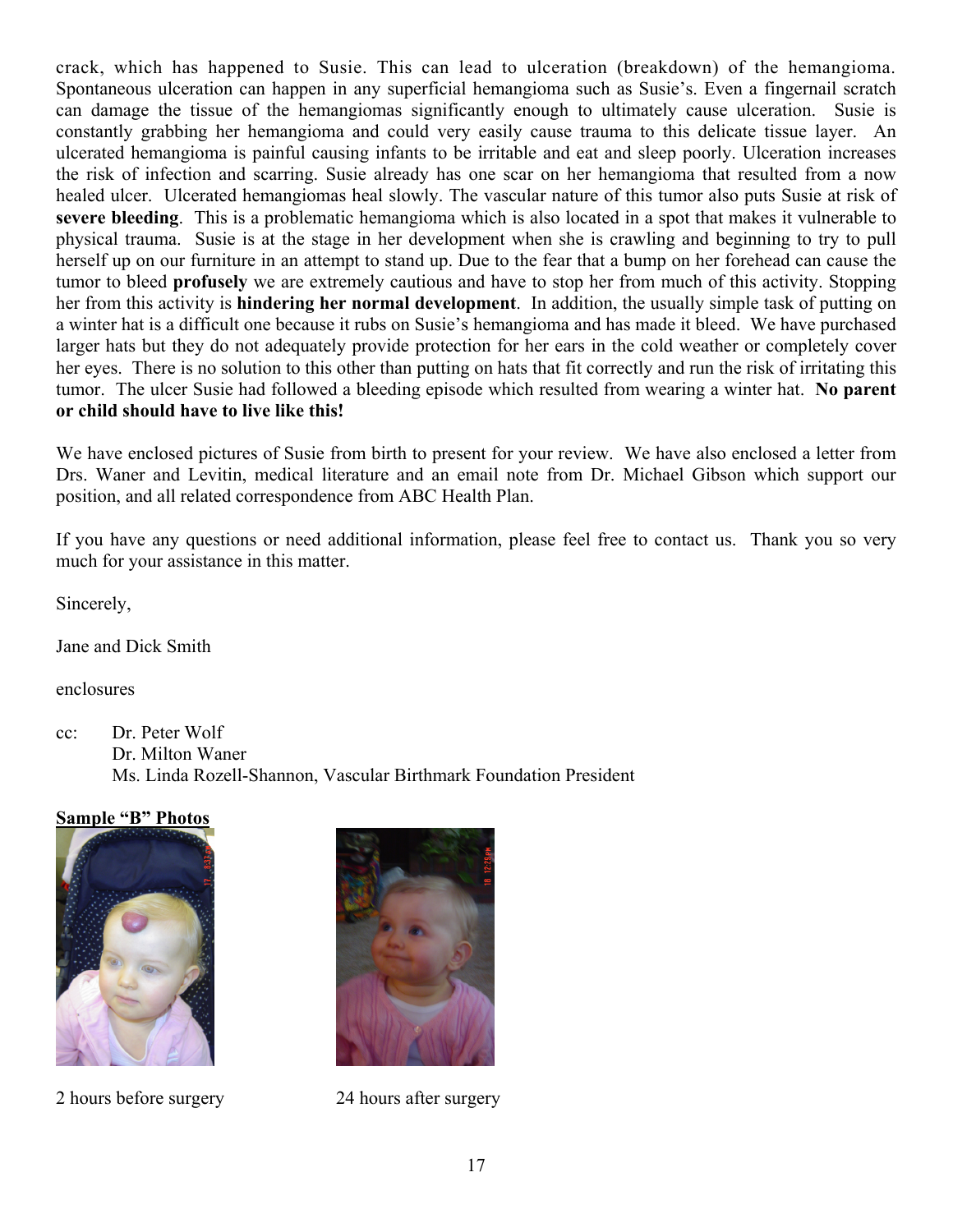crack, which has happened to Susie. This can lead to ulceration (breakdown) of the hemangioma. Spontaneous ulceration can happen in any superficial hemangioma such as Susie's. Even a fingernail scratch can damage the tissue of the hemangiomas significantly enough to ultimately cause ulceration. Susie is constantly grabbing her hemangioma and could very easily cause trauma to this delicate tissue layer. An ulcerated hemangioma is painful causing infants to be irritable and eat and sleep poorly. Ulceration increases the risk of infection and scarring. Susie already has one scar on her hemangioma that resulted from a now healed ulcer. Ulcerated hemangiomas heal slowly. The vascular nature of this tumor also puts Susie at risk of **severe bleeding**. This is a problematic hemangioma which is also located in a spot that makes it vulnerable to physical trauma. Susie is at the stage in her development when she is crawling and beginning to try to pull herself up on our furniture in an attempt to stand up. Due to the fear that a bump on her forehead can cause the tumor to bleed **profusely** we are extremely cautious and have to stop her from much of this activity. Stopping her from this activity is **hindering her normal development**. In addition, the usually simple task of putting on a winter hat is a difficult one because it rubs on Susie's hemangioma and has made it bleed. We have purchased larger hats but they do not adequately provide protection for her ears in the cold weather or completely cover her eyes. There is no solution to this other than putting on hats that fit correctly and run the risk of irritating this tumor. The ulcer Susie had followed a bleeding episode which resulted from wearing a winter hat. **No parent or child should have to live like this!** 

We have enclosed pictures of Susie from birth to present for your review. We have also enclosed a letter from Drs. Waner and Levitin, medical literature and an email note from Dr. Michael Gibson which support our position, and all related correspondence from ABC Health Plan.

If you have any questions or need additional information, please feel free to contact us. Thank you so very much for your assistance in this matter.

Sincerely,

Jane and Dick Smith

enclosures

cc: Dr. Peter Wolf Dr. Milton Waner Ms. Linda Rozell-Shannon, Vascular Birthmark Foundation President

# **Sample "B" Photos**



2 hours before surgery 24 hours after surgery

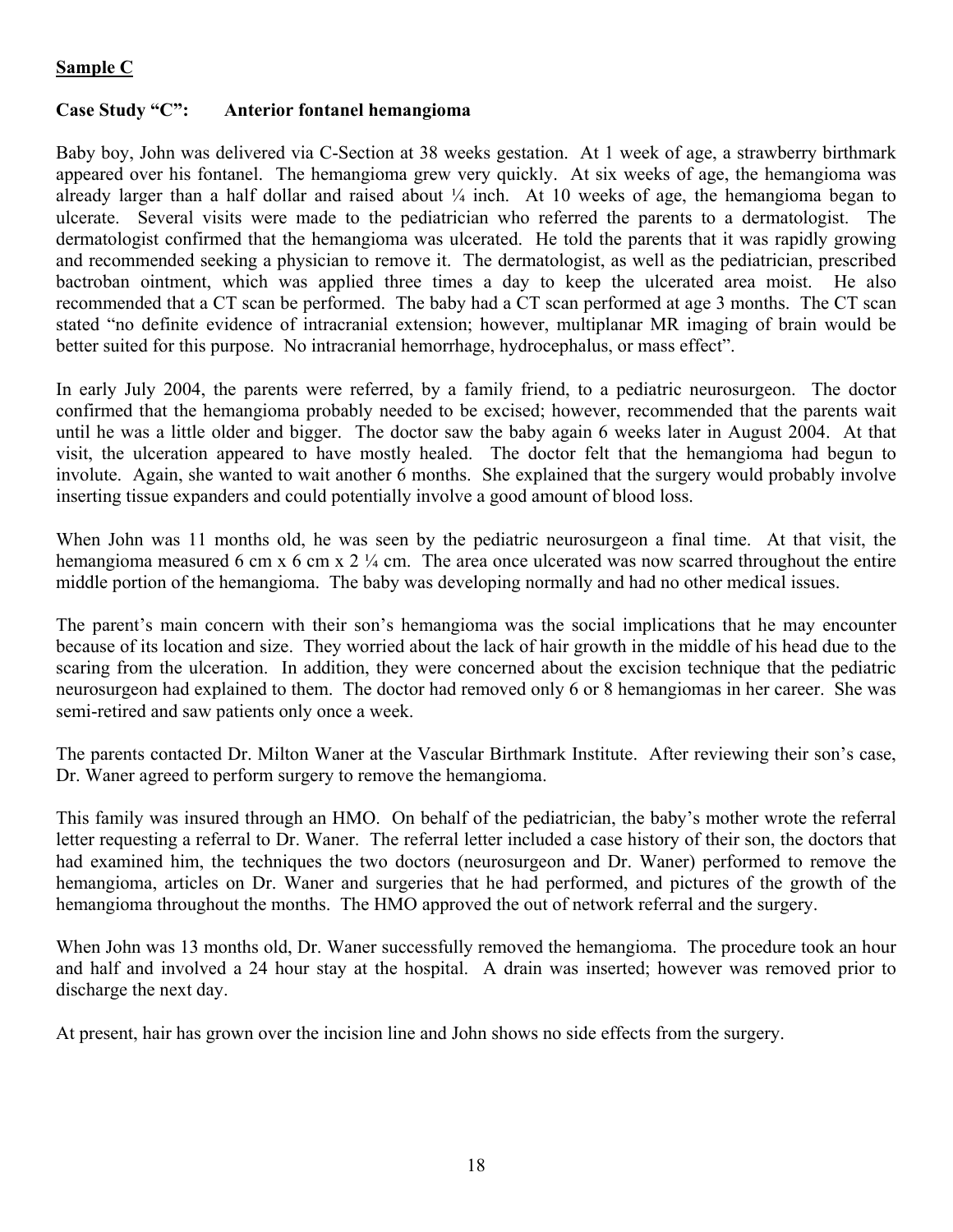# **Sample C**

# **Case Study "C": Anterior fontanel hemangioma**

Baby boy, John was delivered via C-Section at 38 weeks gestation. At 1 week of age, a strawberry birthmark appeared over his fontanel. The hemangioma grew very quickly. At six weeks of age, the hemangioma was already larger than a half dollar and raised about ¼ inch. At 10 weeks of age, the hemangioma began to ulcerate. Several visits were made to the pediatrician who referred the parents to a dermatologist. The dermatologist confirmed that the hemangioma was ulcerated. He told the parents that it was rapidly growing and recommended seeking a physician to remove it. The dermatologist, as well as the pediatrician, prescribed bactroban ointment, which was applied three times a day to keep the ulcerated area moist. He also recommended that a CT scan be performed. The baby had a CT scan performed at age 3 months. The CT scan stated "no definite evidence of intracranial extension; however, multiplanar MR imaging of brain would be better suited for this purpose. No intracranial hemorrhage, hydrocephalus, or mass effect".

In early July 2004, the parents were referred, by a family friend, to a pediatric neurosurgeon. The doctor confirmed that the hemangioma probably needed to be excised; however, recommended that the parents wait until he was a little older and bigger. The doctor saw the baby again 6 weeks later in August 2004. At that visit, the ulceration appeared to have mostly healed. The doctor felt that the hemangioma had begun to involute. Again, she wanted to wait another 6 months. She explained that the surgery would probably involve inserting tissue expanders and could potentially involve a good amount of blood loss.

When John was 11 months old, he was seen by the pediatric neurosurgeon a final time. At that visit, the hemangioma measured 6 cm x 6 cm x 2  $\frac{1}{4}$  cm. The area once ulcerated was now scarred throughout the entire middle portion of the hemangioma. The baby was developing normally and had no other medical issues.

The parent's main concern with their son's hemangioma was the social implications that he may encounter because of its location and size. They worried about the lack of hair growth in the middle of his head due to the scaring from the ulceration. In addition, they were concerned about the excision technique that the pediatric neurosurgeon had explained to them. The doctor had removed only 6 or 8 hemangiomas in her career. She was semi-retired and saw patients only once a week.

The parents contacted Dr. Milton Waner at the Vascular Birthmark Institute. After reviewing their son's case, Dr. Waner agreed to perform surgery to remove the hemangioma.

This family was insured through an HMO. On behalf of the pediatrician, the baby's mother wrote the referral letter requesting a referral to Dr. Waner. The referral letter included a case history of their son, the doctors that had examined him, the techniques the two doctors (neurosurgeon and Dr. Waner) performed to remove the hemangioma, articles on Dr. Waner and surgeries that he had performed, and pictures of the growth of the hemangioma throughout the months. The HMO approved the out of network referral and the surgery.

When John was 13 months old, Dr. Waner successfully removed the hemangioma. The procedure took an hour and half and involved a 24 hour stay at the hospital. A drain was inserted; however was removed prior to discharge the next day.

At present, hair has grown over the incision line and John shows no side effects from the surgery.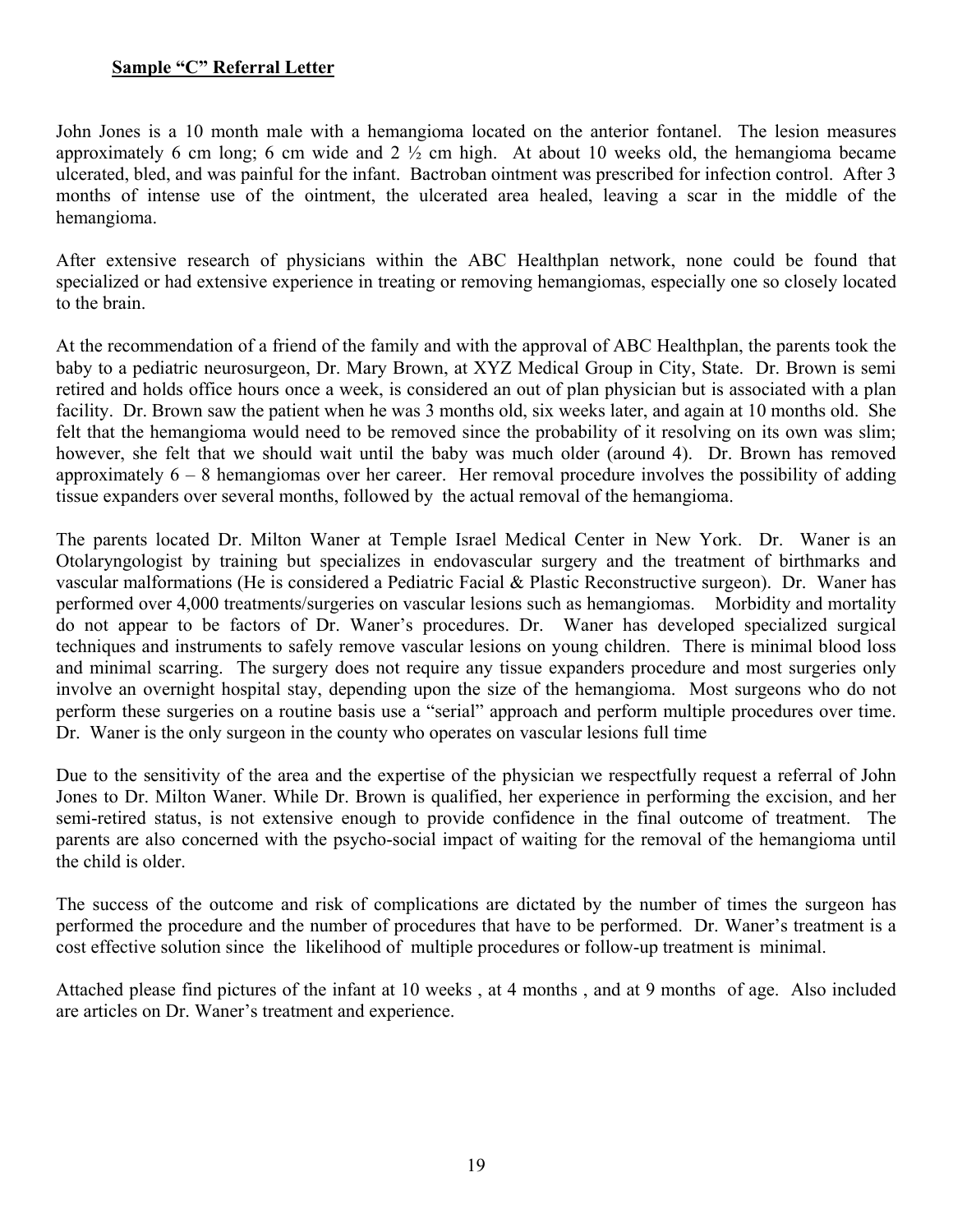#### **Sample "C" Referral Letter**

John Jones is a 10 month male with a hemangioma located on the anterior fontanel. The lesion measures approximately 6 cm long; 6 cm wide and 2 ½ cm high. At about 10 weeks old, the hemangioma became ulcerated, bled, and was painful for the infant. Bactroban ointment was prescribed for infection control. After 3 months of intense use of the ointment, the ulcerated area healed, leaving a scar in the middle of the hemangioma.

After extensive research of physicians within the ABC Healthplan network, none could be found that specialized or had extensive experience in treating or removing hemangiomas, especially one so closely located to the brain.

At the recommendation of a friend of the family and with the approval of ABC Healthplan, the parents took the baby to a pediatric neurosurgeon, Dr. Mary Brown, at XYZ Medical Group in City, State. Dr. Brown is semi retired and holds office hours once a week, is considered an out of plan physician but is associated with a plan facility. Dr. Brown saw the patient when he was 3 months old, six weeks later, and again at 10 months old. She felt that the hemangioma would need to be removed since the probability of it resolving on its own was slim; however, she felt that we should wait until the baby was much older (around 4). Dr. Brown has removed approximately 6 – 8 hemangiomas over her career. Her removal procedure involves the possibility of adding tissue expanders over several months, followed by the actual removal of the hemangioma.

The parents located Dr. Milton Waner at Temple Israel Medical Center in New York. Dr. Waner is an Otolaryngologist by training but specializes in endovascular surgery and the treatment of birthmarks and vascular malformations (He is considered a Pediatric Facial & Plastic Reconstructive surgeon). Dr. Waner has performed over 4,000 treatments/surgeries on vascular lesions such as hemangiomas. Morbidity and mortality do not appear to be factors of Dr. Waner's procedures. Dr. Waner has developed specialized surgical techniques and instruments to safely remove vascular lesions on young children. There is minimal blood loss and minimal scarring. The surgery does not require any tissue expanders procedure and most surgeries only involve an overnight hospital stay, depending upon the size of the hemangioma. Most surgeons who do not perform these surgeries on a routine basis use a "serial" approach and perform multiple procedures over time. Dr. Waner is the only surgeon in the county who operates on vascular lesions full time

Due to the sensitivity of the area and the expertise of the physician we respectfully request a referral of John Jones to Dr. Milton Waner. While Dr. Brown is qualified, her experience in performing the excision, and her semi-retired status, is not extensive enough to provide confidence in the final outcome of treatment. The parents are also concerned with the psycho-social impact of waiting for the removal of the hemangioma until the child is older.

The success of the outcome and risk of complications are dictated by the number of times the surgeon has performed the procedure and the number of procedures that have to be performed. Dr. Waner's treatment is a cost effective solution since the likelihood of multiple procedures or follow-up treatment is minimal.

Attached please find pictures of the infant at 10 weeks , at 4 months , and at 9 months of age. Also included are articles on Dr. Waner's treatment and experience.